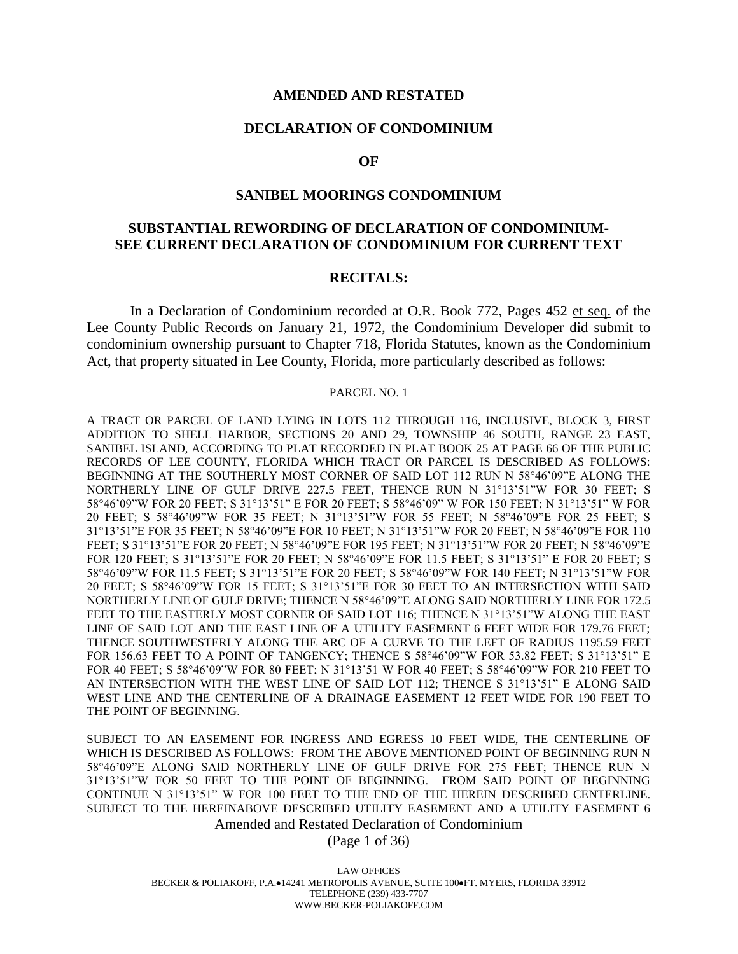#### **AMENDED AND RESTATED**

#### **DECLARATION OF CONDOMINIUM**

#### **OF**

#### **SANIBEL MOORINGS CONDOMINIUM**

# **SUBSTANTIAL REWORDING OF DECLARATION OF CONDOMINIUM-SEE CURRENT DECLARATION OF CONDOMINIUM FOR CURRENT TEXT**

#### **RECITALS:**

In a Declaration of Condominium recorded at O.R. Book 772, Pages 452 et seq. of the Lee County Public Records on January 21, 1972, the Condominium Developer did submit to condominium ownership pursuant to Chapter 718, Florida Statutes, known as the Condominium Act, that property situated in Lee County, Florida, more particularly described as follows:

#### PARCEL NO. 1

A TRACT OR PARCEL OF LAND LYING IN LOTS 112 THROUGH 116, INCLUSIVE, BLOCK 3, FIRST ADDITION TO SHELL HARBOR, SECTIONS 20 AND 29, TOWNSHIP 46 SOUTH, RANGE 23 EAST, SANIBEL ISLAND, ACCORDING TO PLAT RECORDED IN PLAT BOOK 25 AT PAGE 66 OF THE PUBLIC RECORDS OF LEE COUNTY, FLORIDA WHICH TRACT OR PARCEL IS DESCRIBED AS FOLLOWS: BEGINNING AT THE SOUTHERLY MOST CORNER OF SAID LOT 112 RUN N 58°46'09"E ALONG THE NORTHERLY LINE OF GULF DRIVE 227.5 FEET, THENCE RUN N 31°13'51"W FOR 30 FEET; S 58°46'09"W FOR 20 FEET; S 31°13'51" E FOR 20 FEET; S 58°46'09" W FOR 150 FEET; N 31°13'51" W FOR 20 FEET; S 58°46'09"W FOR 35 FEET; N 31°13'51"W FOR 55 FEET; N 58°46'09"E FOR 25 FEET; S 31°13'51"E FOR 35 FEET; N 58°46'09"E FOR 10 FEET; N 31°13'51"W FOR 20 FEET; N 58°46'09"E FOR 110 FEET; S 31°13'51"E FOR 20 FEET; N 58°46'09"E FOR 195 FEET; N 31°13'51"W FOR 20 FEET; N 58°46'09"E FOR 120 FEET; S 31°13'51"E FOR 20 FEET; N 58°46'09"E FOR 11.5 FEET; S 31°13'51" E FOR 20 FEET; S 58°46'09"W FOR 11.5 FEET; S 31°13'51"E FOR 20 FEET; S 58°46'09"W FOR 140 FEET; N 31°13'51"W FOR 20 FEET; S 58°46'09"W FOR 15 FEET; S 31°13'51"E FOR 30 FEET TO AN INTERSECTION WITH SAID NORTHERLY LINE OF GULF DRIVE; THENCE N 58°46'09"E ALONG SAID NORTHERLY LINE FOR 172.5 FEET TO THE EASTERLY MOST CORNER OF SAID LOT 116; THENCE N 31°13'51"W ALONG THE EAST LINE OF SAID LOT AND THE EAST LINE OF A UTILITY EASEMENT 6 FEET WIDE FOR 179.76 FEET; THENCE SOUTHWESTERLY ALONG THE ARC OF A CURVE TO THE LEFT OF RADIUS 1195.59 FEET FOR 156.63 FEET TO A POINT OF TANGENCY; THENCE S 58°46'09"W FOR 53.82 FEET; S 31°13'51" E FOR 40 FEET; S 58°46'09"W FOR 80 FEET; N 31°13'51 W FOR 40 FEET; S 58°46'09"W FOR 210 FEET TO AN INTERSECTION WITH THE WEST LINE OF SAID LOT 112; THENCE S 31°13'51" E ALONG SAID WEST LINE AND THE CENTERLINE OF A DRAINAGE EASEMENT 12 FEET WIDE FOR 190 FEET TO THE POINT OF BEGINNING.

SUBJECT TO AN EASEMENT FOR INGRESS AND EGRESS 10 FEET WIDE, THE CENTERLINE OF WHICH IS DESCRIBED AS FOLLOWS: FROM THE ABOVE MENTIONED POINT OF BEGINNING RUN N 58°46'09"E ALONG SAID NORTHERLY LINE OF GULF DRIVE FOR 275 FEET; THENCE RUN N 31°13'51"W FOR 50 FEET TO THE POINT OF BEGINNING. FROM SAID POINT OF BEGINNING CONTINUE N 31°13'51" W FOR 100 FEET TO THE END OF THE HEREIN DESCRIBED CENTERLINE. SUBJECT TO THE HEREINABOVE DESCRIBED UTILITY EASEMENT AND A UTILITY EASEMENT 6

Amended and Restated Declaration of Condominium

(Page 1 of 36)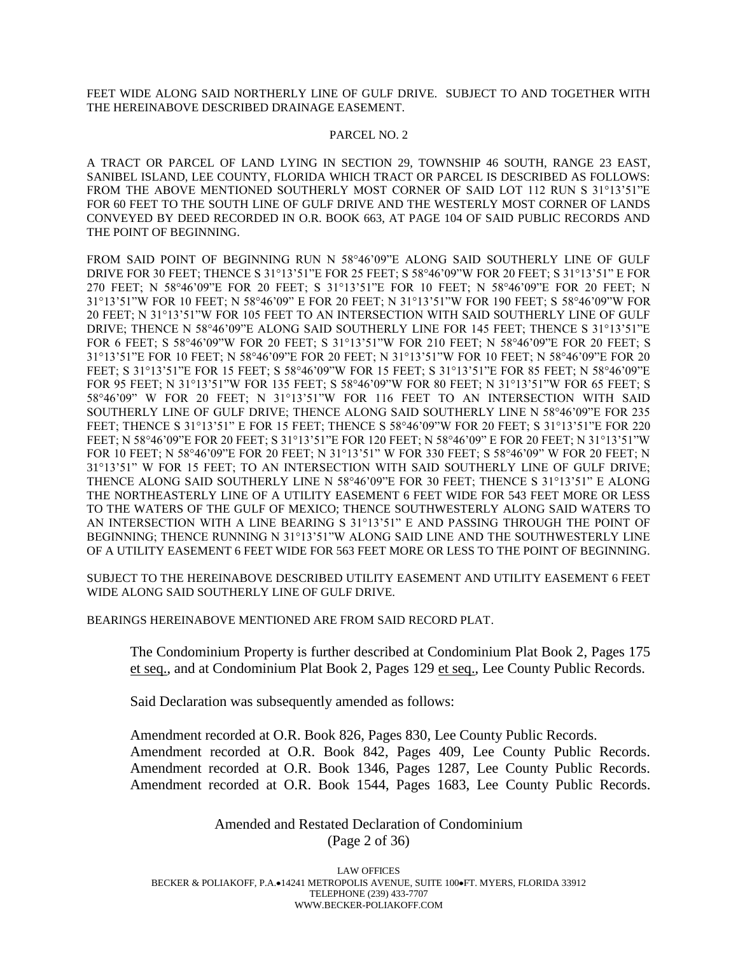FEET WIDE ALONG SAID NORTHERLY LINE OF GULF DRIVE. SUBJECT TO AND TOGETHER WITH THE HEREINABOVE DESCRIBED DRAINAGE EASEMENT.

#### PARCEL NO. 2

A TRACT OR PARCEL OF LAND LYING IN SECTION 29, TOWNSHIP 46 SOUTH, RANGE 23 EAST, SANIBEL ISLAND, LEE COUNTY, FLORIDA WHICH TRACT OR PARCEL IS DESCRIBED AS FOLLOWS: FROM THE ABOVE MENTIONED SOUTHERLY MOST CORNER OF SAID LOT 112 RUN S 31°13'51"E FOR 60 FEET TO THE SOUTH LINE OF GULF DRIVE AND THE WESTERLY MOST CORNER OF LANDS CONVEYED BY DEED RECORDED IN O.R. BOOK 663, AT PAGE 104 OF SAID PUBLIC RECORDS AND THE POINT OF BEGINNING.

FROM SAID POINT OF BEGINNING RUN N 58°46'09"E ALONG SAID SOUTHERLY LINE OF GULF DRIVE FOR 30 FEET; THENCE S 31°13'51"E FOR 25 FEET; S 58°46'09"W FOR 20 FEET; S 31°13'51" E FOR 270 FEET; N 58°46'09"E FOR 20 FEET; S 31°13'51"E FOR 10 FEET; N 58°46'09"E FOR 20 FEET; N 31°13'51"W FOR 10 FEET; N 58°46'09" E FOR 20 FEET; N 31°13'51"W FOR 190 FEET; S 58°46'09"W FOR 20 FEET; N 31°13'51"W FOR 105 FEET TO AN INTERSECTION WITH SAID SOUTHERLY LINE OF GULF DRIVE; THENCE N 58°46'09"E ALONG SAID SOUTHERLY LINE FOR 145 FEET; THENCE S 31°13'51"E FOR 6 FEET; S 58°46'09"W FOR 20 FEET; S 31°13'51"W FOR 210 FEET; N 58°46'09"E FOR 20 FEET; S 31°13'51"E FOR 10 FEET; N 58°46'09"E FOR 20 FEET; N 31°13'51"W FOR 10 FEET; N 58°46'09"E FOR 20 FEET; S 31°13'51"E FOR 15 FEET; S 58°46'09"W FOR 15 FEET; S 31°13'51"E FOR 85 FEET; N 58°46'09"E FOR 95 FEET; N 31°13'51"W FOR 135 FEET; S 58°46'09"W FOR 80 FEET; N 31°13'51"W FOR 65 FEET; S 58°46'09" W FOR 20 FEET; N 31°13'51"W FOR 116 FEET TO AN INTERSECTION WITH SAID SOUTHERLY LINE OF GULF DRIVE; THENCE ALONG SAID SOUTHERLY LINE N 58°46'09"E FOR 235 FEET; THENCE S 31°13'51" E FOR 15 FEET; THENCE S 58°46'09"W FOR 20 FEET; S 31°13'51"E FOR 220 FEET; N 58°46'09"E FOR 20 FEET; S 31°13'51"E FOR 120 FEET; N 58°46'09" E FOR 20 FEET; N 31°13'51"W FOR 10 FEET; N 58°46'09"E FOR 20 FEET; N 31°13'51" W FOR 330 FEET; S 58°46'09" W FOR 20 FEET; N 31°13'51" W FOR 15 FEET; TO AN INTERSECTION WITH SAID SOUTHERLY LINE OF GULF DRIVE; THENCE ALONG SAID SOUTHERLY LINE N 58°46'09"E FOR 30 FEET; THENCE S 31°13'51" E ALONG THE NORTHEASTERLY LINE OF A UTILITY EASEMENT 6 FEET WIDE FOR 543 FEET MORE OR LESS TO THE WATERS OF THE GULF OF MEXICO; THENCE SOUTHWESTERLY ALONG SAID WATERS TO AN INTERSECTION WITH A LINE BEARING S 31°13'51" E AND PASSING THROUGH THE POINT OF BEGINNING; THENCE RUNNING N 31°13'51"W ALONG SAID LINE AND THE SOUTHWESTERLY LINE OF A UTILITY EASEMENT 6 FEET WIDE FOR 563 FEET MORE OR LESS TO THE POINT OF BEGINNING.

SUBJECT TO THE HEREINABOVE DESCRIBED UTILITY EASEMENT AND UTILITY EASEMENT 6 FEET WIDE ALONG SAID SOUTHERLY LINE OF GULF DRIVE.

BEARINGS HEREINABOVE MENTIONED ARE FROM SAID RECORD PLAT.

The Condominium Property is further described at Condominium Plat Book 2, Pages 175 et seq., and at Condominium Plat Book 2, Pages 129 et seq., Lee County Public Records.

Said Declaration was subsequently amended as follows:

Amendment recorded at O.R. Book 826, Pages 830, Lee County Public Records. Amendment recorded at O.R. Book 842, Pages 409, Lee County Public Records. Amendment recorded at O.R. Book 1346, Pages 1287, Lee County Public Records. Amendment recorded at O.R. Book 1544, Pages 1683, Lee County Public Records.

> Amended and Restated Declaration of Condominium (Page 2 of 36)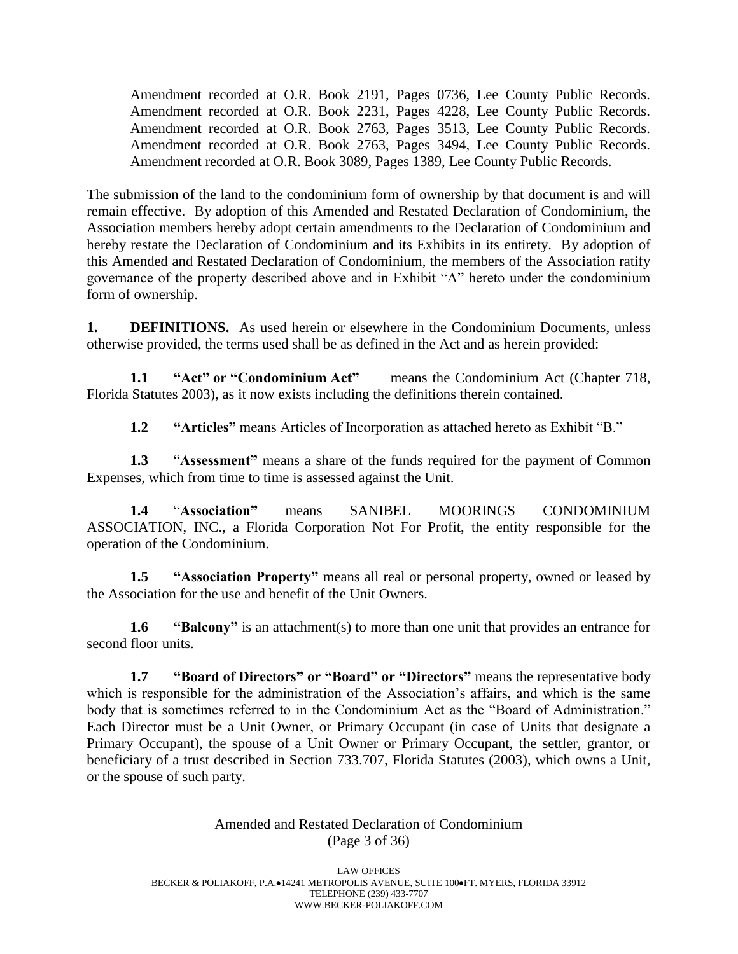Amendment recorded at O.R. Book 2191, Pages 0736, Lee County Public Records. Amendment recorded at O.R. Book 2231, Pages 4228, Lee County Public Records. Amendment recorded at O.R. Book 2763, Pages 3513, Lee County Public Records. Amendment recorded at O.R. Book 2763, Pages 3494, Lee County Public Records. Amendment recorded at O.R. Book 3089, Pages 1389, Lee County Public Records.

The submission of the land to the condominium form of ownership by that document is and will remain effective. By adoption of this Amended and Restated Declaration of Condominium, the Association members hereby adopt certain amendments to the Declaration of Condominium and hereby restate the Declaration of Condominium and its Exhibits in its entirety. By adoption of this Amended and Restated Declaration of Condominium, the members of the Association ratify governance of the property described above and in Exhibit "A" hereto under the condominium form of ownership.

**1. DEFINITIONS.** As used herein or elsewhere in the Condominium Documents, unless otherwise provided, the terms used shall be as defined in the Act and as herein provided:

**1.1 "Act" or "Condominium Act"** means the Condominium Act (Chapter 718, Florida Statutes 2003), as it now exists including the definitions therein contained.

**1.2 "Articles"** means Articles of Incorporation as attached hereto as Exhibit "B."

**1.3** "**Assessment"** means a share of the funds required for the payment of Common Expenses, which from time to time is assessed against the Unit.

**1.4** "**Association"** means SANIBEL MOORINGS CONDOMINIUM ASSOCIATION, INC., a Florida Corporation Not For Profit, the entity responsible for the operation of the Condominium.

**1.5 "Association Property"** means all real or personal property, owned or leased by the Association for the use and benefit of the Unit Owners.

**1.6 "Balcony"** is an attachment(s) to more than one unit that provides an entrance for second floor units.

**1.7 "Board of Directors" or "Board" or "Directors"** means the representative body which is responsible for the administration of the Association's affairs, and which is the same body that is sometimes referred to in the Condominium Act as the "Board of Administration." Each Director must be a Unit Owner, or Primary Occupant (in case of Units that designate a Primary Occupant), the spouse of a Unit Owner or Primary Occupant, the settler, grantor, or beneficiary of a trust described in Section 733.707, Florida Statutes (2003), which owns a Unit, or the spouse of such party.

> Amended and Restated Declaration of Condominium (Page 3 of 36)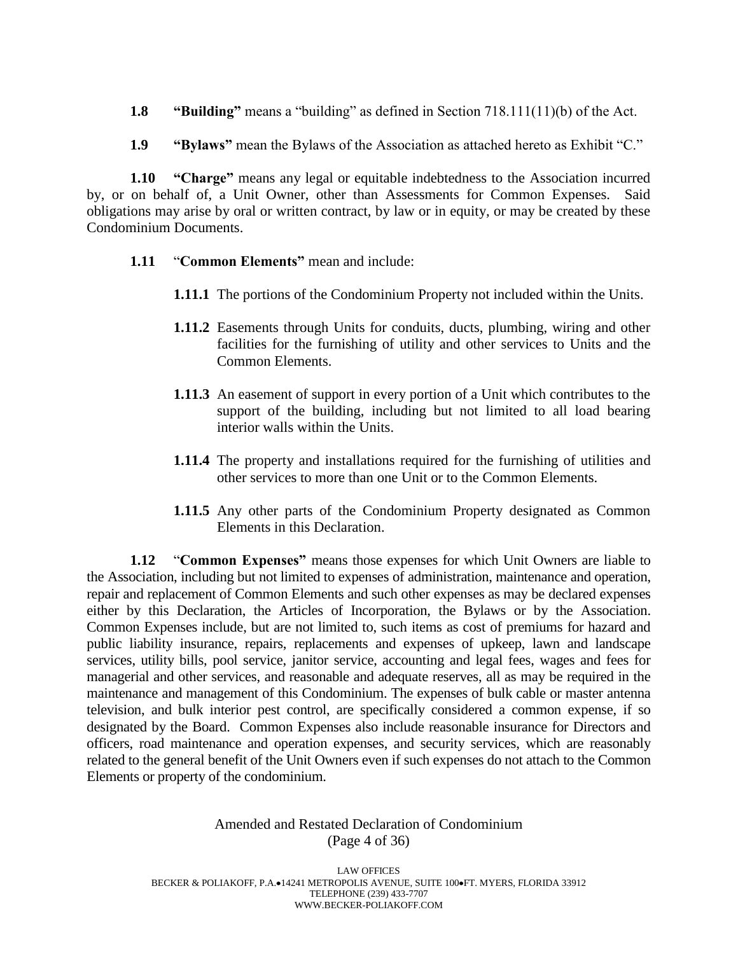- **1.8 "Building"** means a "building" as defined in Section 718.111(11)(b) of the Act.
- **1.9 "Bylaws"** mean the Bylaws of the Association as attached hereto as Exhibit "C."

**1.10 "Charge"** means any legal or equitable indebtedness to the Association incurred by, or on behalf of, a Unit Owner, other than Assessments for Common Expenses. Said obligations may arise by oral or written contract, by law or in equity, or may be created by these Condominium Documents.

- **1.11** "**Common Elements"** mean and include:
	- **1.11.1** The portions of the Condominium Property not included within the Units.
	- **1.11.2** Easements through Units for conduits, ducts, plumbing, wiring and other facilities for the furnishing of utility and other services to Units and the Common Elements.
	- **1.11.3** An easement of support in every portion of a Unit which contributes to the support of the building, including but not limited to all load bearing interior walls within the Units.
	- **1.11.4** The property and installations required for the furnishing of utilities and other services to more than one Unit or to the Common Elements.
	- **1.11.5** Any other parts of the Condominium Property designated as Common Elements in this Declaration.

**1.12** "**Common Expenses"** means those expenses for which Unit Owners are liable to the Association, including but not limited to expenses of administration, maintenance and operation, repair and replacement of Common Elements and such other expenses as may be declared expenses either by this Declaration, the Articles of Incorporation, the Bylaws or by the Association. Common Expenses include, but are not limited to, such items as cost of premiums for hazard and public liability insurance, repairs, replacements and expenses of upkeep, lawn and landscape services, utility bills, pool service, janitor service, accounting and legal fees, wages and fees for managerial and other services, and reasonable and adequate reserves, all as may be required in the maintenance and management of this Condominium. The expenses of bulk cable or master antenna television, and bulk interior pest control, are specifically considered a common expense, if so designated by the Board. Common Expenses also include reasonable insurance for Directors and officers, road maintenance and operation expenses, and security services, which are reasonably related to the general benefit of the Unit Owners even if such expenses do not attach to the Common Elements or property of the condominium.

#### Amended and Restated Declaration of Condominium (Page 4 of 36)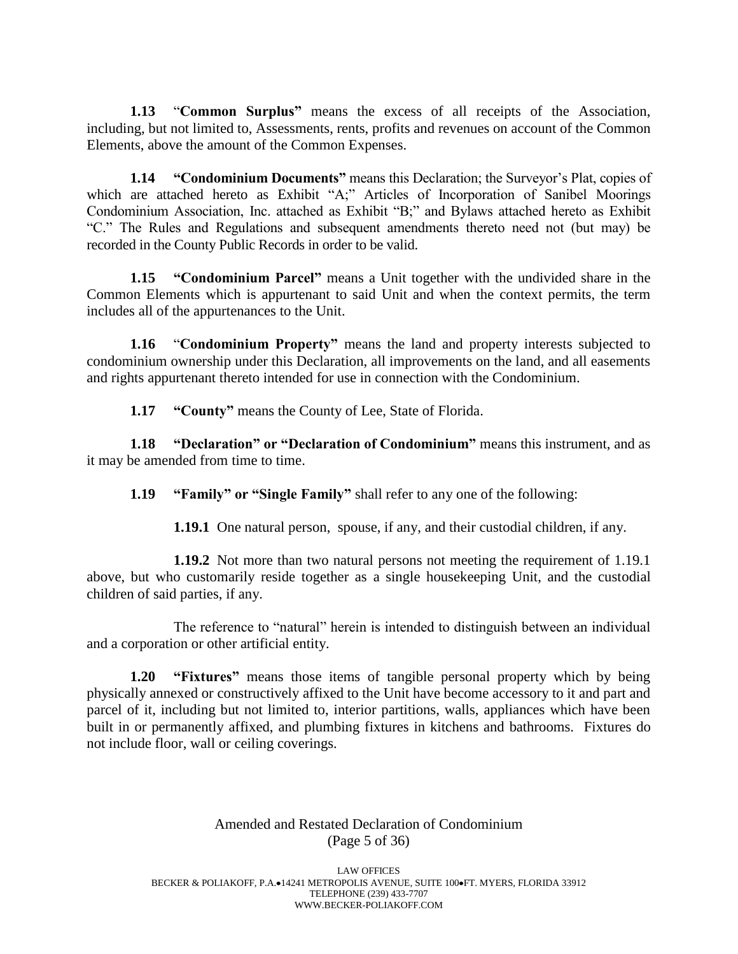**1.13** "**Common Surplus"** means the excess of all receipts of the Association, including, but not limited to, Assessments, rents, profits and revenues on account of the Common Elements, above the amount of the Common Expenses.

**1.14 "Condominium Documents"** means this Declaration; the Surveyor's Plat, copies of which are attached hereto as Exhibit "A;" Articles of Incorporation of Sanibel Moorings Condominium Association, Inc. attached as Exhibit "B;" and Bylaws attached hereto as Exhibit "C." The Rules and Regulations and subsequent amendments thereto need not (but may) be recorded in the County Public Records in order to be valid.

**1.15 "Condominium Parcel"** means a Unit together with the undivided share in the Common Elements which is appurtenant to said Unit and when the context permits, the term includes all of the appurtenances to the Unit.

**1.16** "**Condominium Property"** means the land and property interests subjected to condominium ownership under this Declaration, all improvements on the land, and all easements and rights appurtenant thereto intended for use in connection with the Condominium.

**1.17 "County"** means the County of Lee, State of Florida.

**1.18 "Declaration" or "Declaration of Condominium"** means this instrument, and as it may be amended from time to time.

**1.19 "Family" or "Single Family"** shall refer to any one of the following:

**1.19.1** One natural person, spouse, if any, and their custodial children, if any.

**1.19.2** Not more than two natural persons not meeting the requirement of 1.19.1 above, but who customarily reside together as a single housekeeping Unit, and the custodial children of said parties, if any.

The reference to "natural" herein is intended to distinguish between an individual and a corporation or other artificial entity.

**1.20 "Fixtures"** means those items of tangible personal property which by being physically annexed or constructively affixed to the Unit have become accessory to it and part and parcel of it, including but not limited to, interior partitions, walls, appliances which have been built in or permanently affixed, and plumbing fixtures in kitchens and bathrooms. Fixtures do not include floor, wall or ceiling coverings.

# Amended and Restated Declaration of Condominium (Page 5 of 36)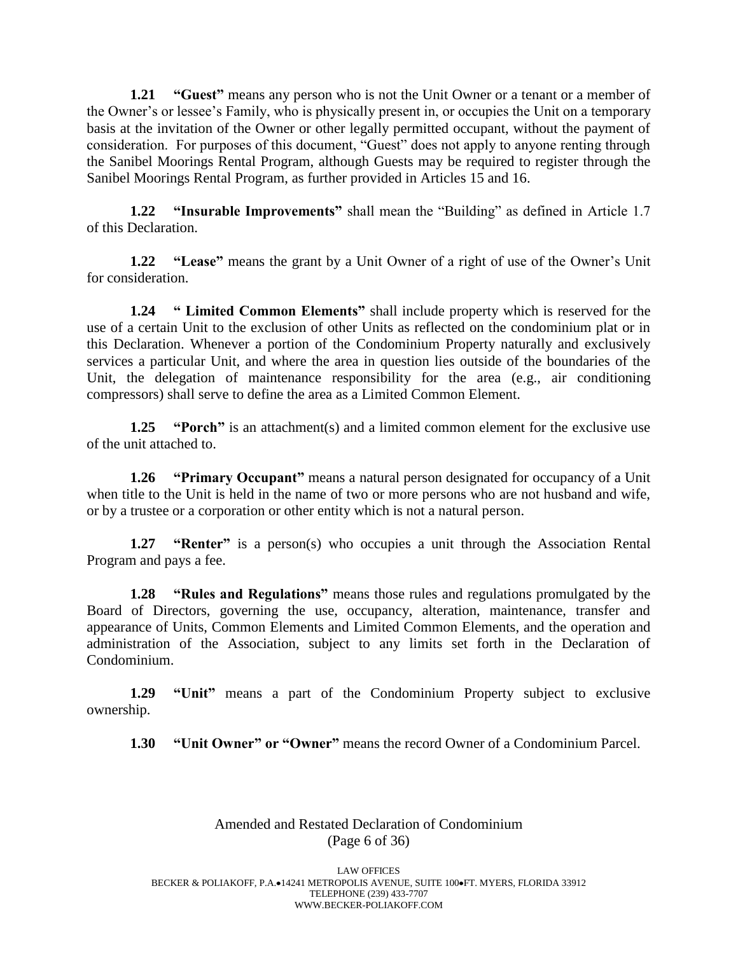**1.21 "Guest"** means any person who is not the Unit Owner or a tenant or a member of the Owner's or lessee's Family, who is physically present in, or occupies the Unit on a temporary basis at the invitation of the Owner or other legally permitted occupant, without the payment of consideration. For purposes of this document, "Guest" does not apply to anyone renting through the Sanibel Moorings Rental Program, although Guests may be required to register through the Sanibel Moorings Rental Program, as further provided in Articles 15 and 16.

**1.22 "Insurable Improvements"** shall mean the "Building" as defined in Article 1.7 of this Declaration.

**1.22 "Lease"** means the grant by a Unit Owner of a right of use of the Owner's Unit for consideration.

**1.24 " Limited Common Elements"** shall include property which is reserved for the use of a certain Unit to the exclusion of other Units as reflected on the condominium plat or in this Declaration. Whenever a portion of the Condominium Property naturally and exclusively services a particular Unit, and where the area in question lies outside of the boundaries of the Unit, the delegation of maintenance responsibility for the area (e.g., air conditioning compressors) shall serve to define the area as a Limited Common Element.

**1.25 "Porch"** is an attachment(s) and a limited common element for the exclusive use of the unit attached to.

**1.26 "Primary Occupant"** means a natural person designated for occupancy of a Unit when title to the Unit is held in the name of two or more persons who are not husband and wife, or by a trustee or a corporation or other entity which is not a natural person.

**1.27 "Renter"** is a person(s) who occupies a unit through the Association Rental Program and pays a fee.

**1.28 "Rules and Regulations"** means those rules and regulations promulgated by the Board of Directors, governing the use, occupancy, alteration, maintenance, transfer and appearance of Units, Common Elements and Limited Common Elements, and the operation and administration of the Association, subject to any limits set forth in the Declaration of Condominium.

**1.29 "Unit"** means a part of the Condominium Property subject to exclusive ownership.

**1.30 "Unit Owner" or "Owner"** means the record Owner of a Condominium Parcel.

# Amended and Restated Declaration of Condominium (Page 6 of 36)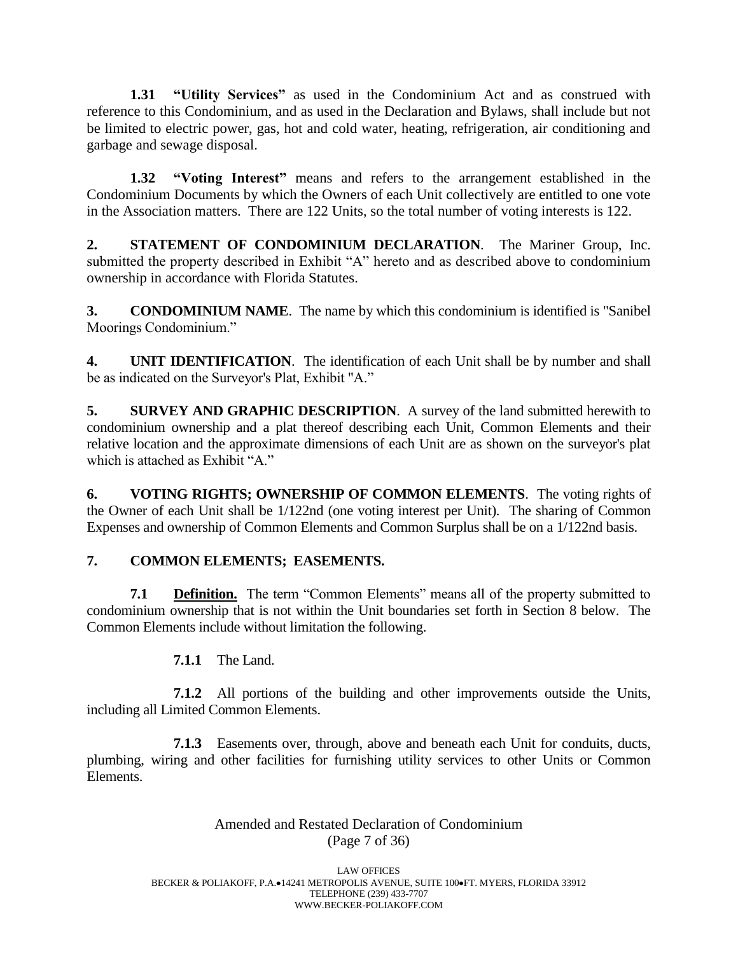**1.31 "Utility Services"** as used in the Condominium Act and as construed with reference to this Condominium, and as used in the Declaration and Bylaws, shall include but not be limited to electric power, gas, hot and cold water, heating, refrigeration, air conditioning and garbage and sewage disposal.

**1.32 "Voting Interest"** means and refers to the arrangement established in the Condominium Documents by which the Owners of each Unit collectively are entitled to one vote in the Association matters. There are 122 Units, so the total number of voting interests is 122.

**2. STATEMENT OF CONDOMINIUM DECLARATION**. The Mariner Group, Inc. submitted the property described in Exhibit "A" hereto and as described above to condominium ownership in accordance with Florida Statutes.

**3. CONDOMINIUM NAME**. The name by which this condominium is identified is "Sanibel Moorings Condominium."

**4. UNIT IDENTIFICATION**. The identification of each Unit shall be by number and shall be as indicated on the Surveyor's Plat, Exhibit "A."

**5. SURVEY AND GRAPHIC DESCRIPTION**. A survey of the land submitted herewith to condominium ownership and a plat thereof describing each Unit, Common Elements and their relative location and the approximate dimensions of each Unit are as shown on the surveyor's plat which is attached as Exhibit "A"

**6. VOTING RIGHTS; OWNERSHIP OF COMMON ELEMENTS**. The voting rights of the Owner of each Unit shall be 1/122nd (one voting interest per Unit). The sharing of Common Expenses and ownership of Common Elements and Common Surplus shall be on a 1/122nd basis.

# **7. COMMON ELEMENTS; EASEMENTS.**

**7.1 Definition.** The term "Common Elements" means all of the property submitted to condominium ownership that is not within the Unit boundaries set forth in Section 8 below. The Common Elements include without limitation the following.

**7.1.1** The Land.

**7.1.2** All portions of the building and other improvements outside the Units, including all Limited Common Elements.

**7.1.3** Easements over, through, above and beneath each Unit for conduits, ducts, plumbing, wiring and other facilities for furnishing utility services to other Units or Common Elements.

> Amended and Restated Declaration of Condominium (Page 7 of 36)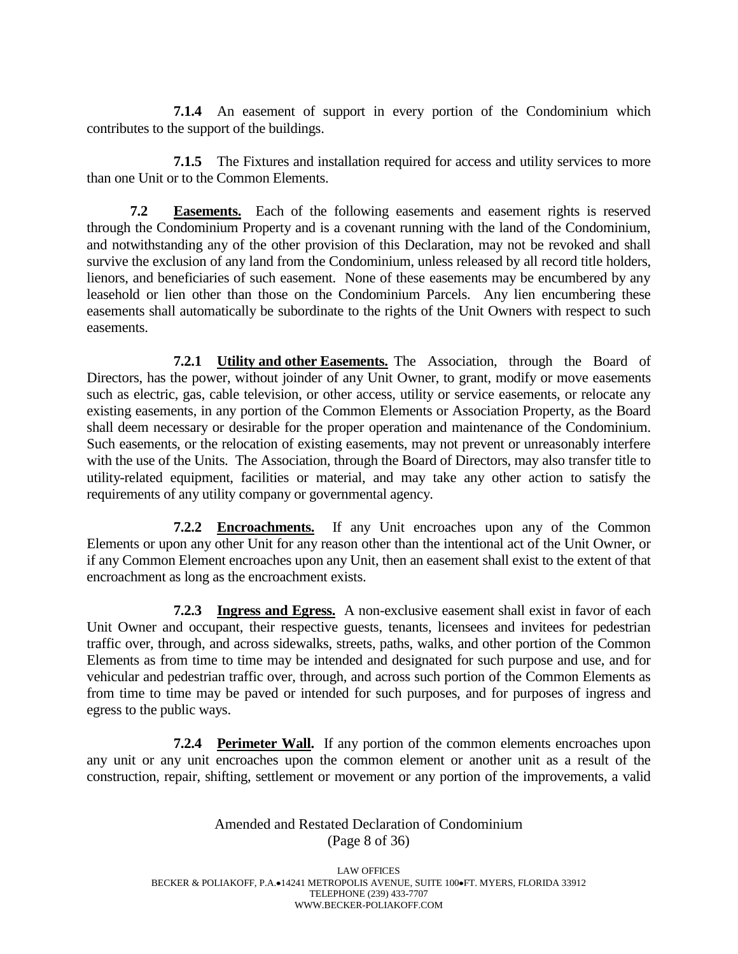**7.1.4** An easement of support in every portion of the Condominium which contributes to the support of the buildings.

**7.1.5** The Fixtures and installation required for access and utility services to more than one Unit or to the Common Elements.

**7.2 Easements.** Each of the following easements and easement rights is reserved through the Condominium Property and is a covenant running with the land of the Condominium, and notwithstanding any of the other provision of this Declaration, may not be revoked and shall survive the exclusion of any land from the Condominium, unless released by all record title holders, lienors, and beneficiaries of such easement. None of these easements may be encumbered by any leasehold or lien other than those on the Condominium Parcels. Any lien encumbering these easements shall automatically be subordinate to the rights of the Unit Owners with respect to such easements.

**7.2.1 Utility and other Easements.** The Association, through the Board of Directors, has the power, without joinder of any Unit Owner, to grant, modify or move easements such as electric, gas, cable television, or other access, utility or service easements, or relocate any existing easements, in any portion of the Common Elements or Association Property, as the Board shall deem necessary or desirable for the proper operation and maintenance of the Condominium. Such easements, or the relocation of existing easements, may not prevent or unreasonably interfere with the use of the Units. The Association, through the Board of Directors, may also transfer title to utility-related equipment, facilities or material, and may take any other action to satisfy the requirements of any utility company or governmental agency.

**7.2.2 Encroachments.** If any Unit encroaches upon any of the Common Elements or upon any other Unit for any reason other than the intentional act of the Unit Owner, or if any Common Element encroaches upon any Unit, then an easement shall exist to the extent of that encroachment as long as the encroachment exists.

**7.2.3 Ingress and Egress.** A non-exclusive easement shall exist in favor of each Unit Owner and occupant, their respective guests, tenants, licensees and invitees for pedestrian traffic over, through, and across sidewalks, streets, paths, walks, and other portion of the Common Elements as from time to time may be intended and designated for such purpose and use, and for vehicular and pedestrian traffic over, through, and across such portion of the Common Elements as from time to time may be paved or intended for such purposes, and for purposes of ingress and egress to the public ways.

**7.2.4 Perimeter Wall.** If any portion of the common elements encroaches upon any unit or any unit encroaches upon the common element or another unit as a result of the construction, repair, shifting, settlement or movement or any portion of the improvements, a valid

> Amended and Restated Declaration of Condominium (Page 8 of 36)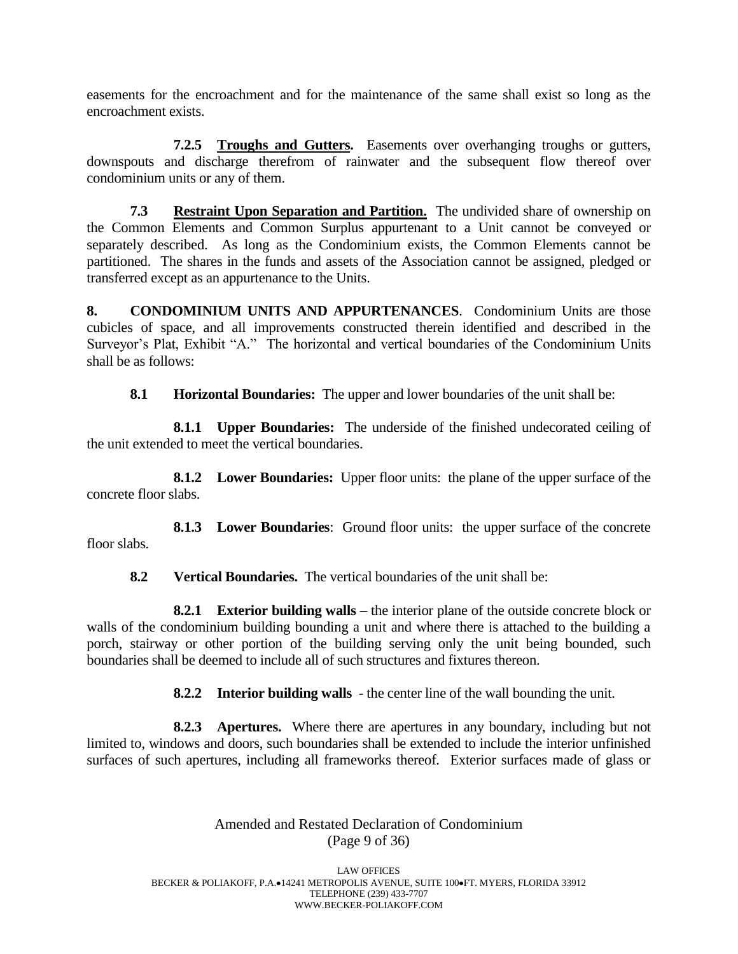easements for the encroachment and for the maintenance of the same shall exist so long as the encroachment exists.

**7.2.5 Troughs and Gutters.** Easements over overhanging troughs or gutters, downspouts and discharge therefrom of rainwater and the subsequent flow thereof over condominium units or any of them.

**7.3 Restraint Upon Separation and Partition.** The undivided share of ownership on the Common Elements and Common Surplus appurtenant to a Unit cannot be conveyed or separately described. As long as the Condominium exists, the Common Elements cannot be partitioned. The shares in the funds and assets of the Association cannot be assigned, pledged or transferred except as an appurtenance to the Units.

**8. CONDOMINIUM UNITS AND APPURTENANCES**. Condominium Units are those cubicles of space, and all improvements constructed therein identified and described in the Surveyor's Plat, Exhibit "A." The horizontal and vertical boundaries of the Condominium Units shall be as follows:

**8.1 Horizontal Boundaries:** The upper and lower boundaries of the unit shall be:

**8.1.1 Upper Boundaries:** The underside of the finished undecorated ceiling of the unit extended to meet the vertical boundaries.

**8.1.2 Lower Boundaries:** Upper floor units: the plane of the upper surface of the concrete floor slabs.

**8.1.3 Lower Boundaries**: Ground floor units: the upper surface of the concrete floor slabs.

**8.2 Vertical Boundaries.** The vertical boundaries of the unit shall be:

**8.2.1 Exterior building walls** – the interior plane of the outside concrete block or walls of the condominium building bounding a unit and where there is attached to the building a porch, stairway or other portion of the building serving only the unit being bounded, such boundaries shall be deemed to include all of such structures and fixtures thereon.

**8.2.2 Interior building walls** - the center line of the wall bounding the unit.

**8.2.3 Apertures.** Where there are apertures in any boundary, including but not limited to, windows and doors, such boundaries shall be extended to include the interior unfinished surfaces of such apertures, including all frameworks thereof. Exterior surfaces made of glass or

> Amended and Restated Declaration of Condominium (Page 9 of 36)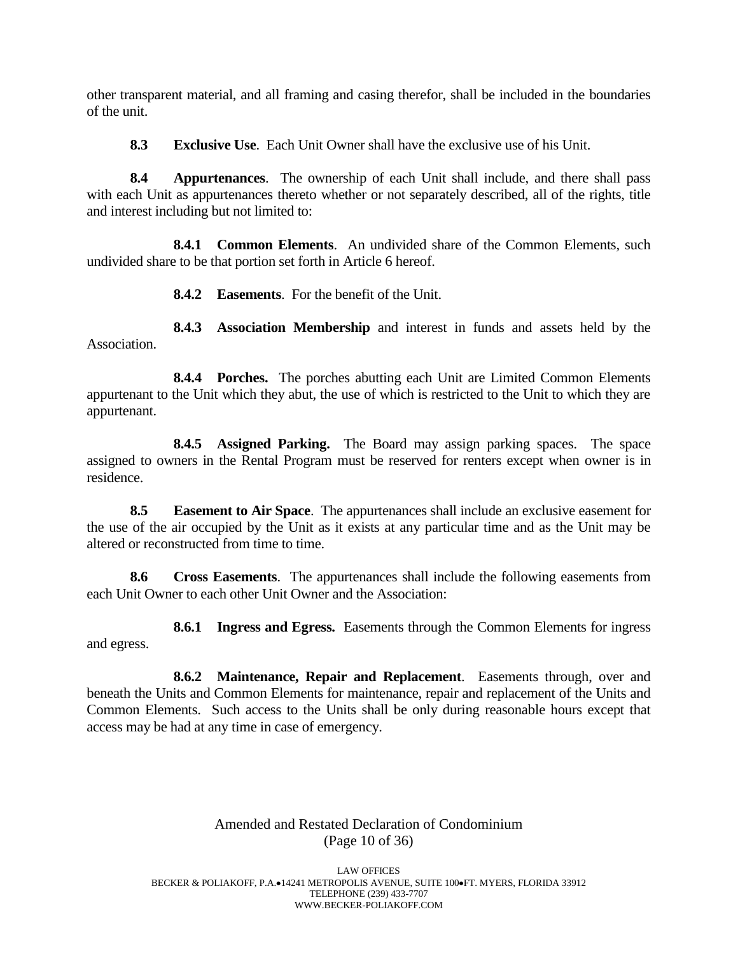other transparent material, and all framing and casing therefor, shall be included in the boundaries of the unit.

**8.3 Exclusive Use**. Each Unit Owner shall have the exclusive use of his Unit.

**8.4 Appurtenances**. The ownership of each Unit shall include, and there shall pass with each Unit as appurtenances thereto whether or not separately described, all of the rights, title and interest including but not limited to:

**8.4.1 Common Elements**. An undivided share of the Common Elements, such undivided share to be that portion set forth in Article 6 hereof.

**8.4.2 Easements**. For the benefit of the Unit.

**8.4.3 Association Membership** and interest in funds and assets held by the Association.

**8.4.4 Porches.** The porches abutting each Unit are Limited Common Elements appurtenant to the Unit which they abut, the use of which is restricted to the Unit to which they are appurtenant.

**8.4.5 Assigned Parking.** The Board may assign parking spaces. The space assigned to owners in the Rental Program must be reserved for renters except when owner is in residence.

**8.5 Easement to Air Space**. The appurtenances shall include an exclusive easement for the use of the air occupied by the Unit as it exists at any particular time and as the Unit may be altered or reconstructed from time to time.

**8.6 Cross Easements**. The appurtenances shall include the following easements from each Unit Owner to each other Unit Owner and the Association:

**8.6.1 Ingress and Egress.** Easements through the Common Elements for ingress and egress.

**8.6.2 Maintenance, Repair and Replacement**. Easements through, over and beneath the Units and Common Elements for maintenance, repair and replacement of the Units and Common Elements. Such access to the Units shall be only during reasonable hours except that access may be had at any time in case of emergency.

> Amended and Restated Declaration of Condominium (Page 10 of 36)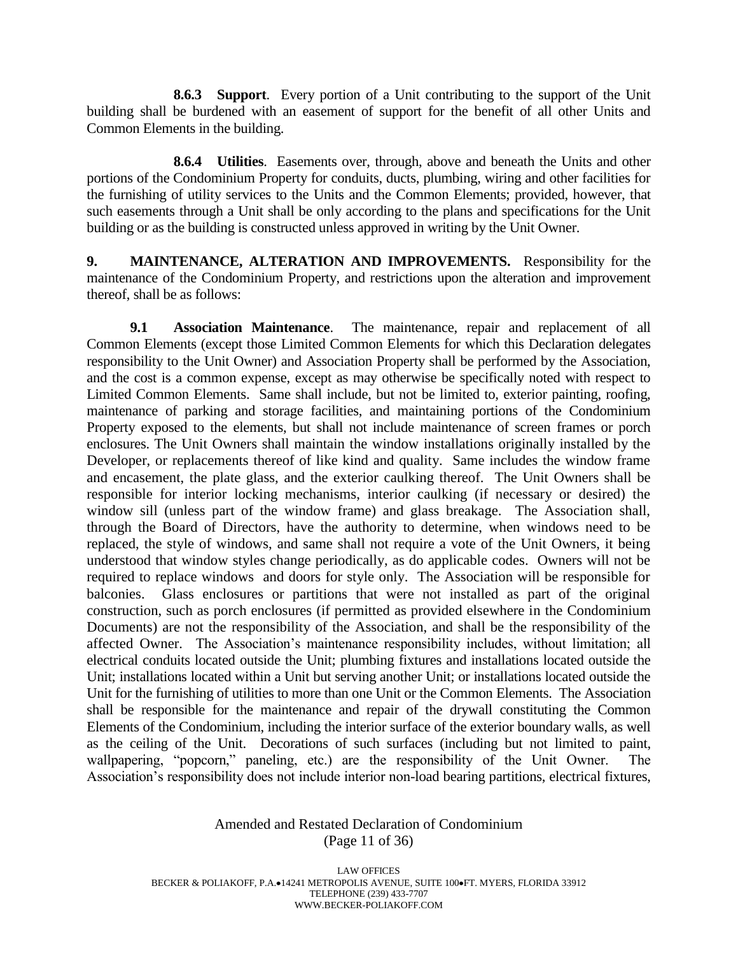**8.6.3 Support**. Every portion of a Unit contributing to the support of the Unit building shall be burdened with an easement of support for the benefit of all other Units and Common Elements in the building.

**8.6.4 Utilities**. Easements over, through, above and beneath the Units and other portions of the Condominium Property for conduits, ducts, plumbing, wiring and other facilities for the furnishing of utility services to the Units and the Common Elements; provided, however, that such easements through a Unit shall be only according to the plans and specifications for the Unit building or as the building is constructed unless approved in writing by the Unit Owner.

**9. MAINTENANCE, ALTERATION AND IMPROVEMENTS.** Responsibility for the maintenance of the Condominium Property, and restrictions upon the alteration and improvement thereof, shall be as follows:

**9.1 Association Maintenance**. The maintenance, repair and replacement of all Common Elements (except those Limited Common Elements for which this Declaration delegates responsibility to the Unit Owner) and Association Property shall be performed by the Association, and the cost is a common expense, except as may otherwise be specifically noted with respect to Limited Common Elements. Same shall include, but not be limited to, exterior painting, roofing, maintenance of parking and storage facilities, and maintaining portions of the Condominium Property exposed to the elements, but shall not include maintenance of screen frames or porch enclosures. The Unit Owners shall maintain the window installations originally installed by the Developer, or replacements thereof of like kind and quality. Same includes the window frame and encasement, the plate glass, and the exterior caulking thereof. The Unit Owners shall be responsible for interior locking mechanisms, interior caulking (if necessary or desired) the window sill (unless part of the window frame) and glass breakage. The Association shall, through the Board of Directors, have the authority to determine, when windows need to be replaced, the style of windows, and same shall not require a vote of the Unit Owners, it being understood that window styles change periodically, as do applicable codes. Owners will not be required to replace windows and doors for style only. The Association will be responsible for balconies. Glass enclosures or partitions that were not installed as part of the original construction, such as porch enclosures (if permitted as provided elsewhere in the Condominium Documents) are not the responsibility of the Association, and shall be the responsibility of the affected Owner. The Association's maintenance responsibility includes, without limitation; all electrical conduits located outside the Unit; plumbing fixtures and installations located outside the Unit; installations located within a Unit but serving another Unit; or installations located outside the Unit for the furnishing of utilities to more than one Unit or the Common Elements. The Association shall be responsible for the maintenance and repair of the drywall constituting the Common Elements of the Condominium, including the interior surface of the exterior boundary walls, as well as the ceiling of the Unit. Decorations of such surfaces (including but not limited to paint, wallpapering, "popcorn," paneling, etc.) are the responsibility of the Unit Owner. The Association's responsibility does not include interior non-load bearing partitions, electrical fixtures,

#### Amended and Restated Declaration of Condominium (Page 11 of 36)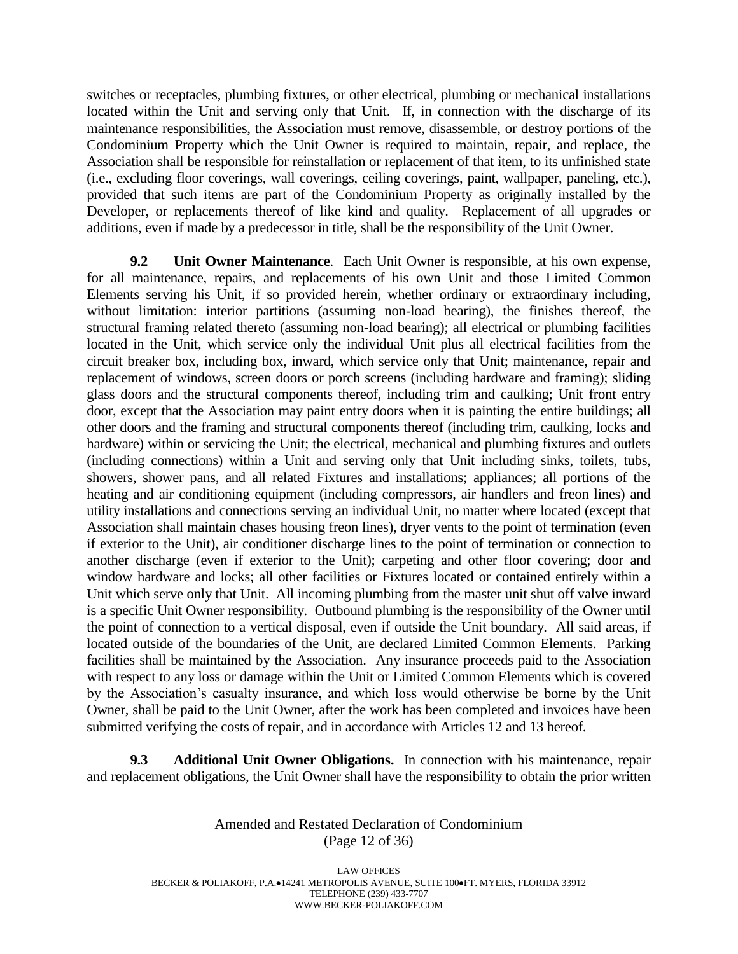switches or receptacles, plumbing fixtures, or other electrical, plumbing or mechanical installations located within the Unit and serving only that Unit. If, in connection with the discharge of its maintenance responsibilities, the Association must remove, disassemble, or destroy portions of the Condominium Property which the Unit Owner is required to maintain, repair, and replace, the Association shall be responsible for reinstallation or replacement of that item, to its unfinished state (i.e., excluding floor coverings, wall coverings, ceiling coverings, paint, wallpaper, paneling, etc.), provided that such items are part of the Condominium Property as originally installed by the Developer, or replacements thereof of like kind and quality. Replacement of all upgrades or additions, even if made by a predecessor in title, shall be the responsibility of the Unit Owner.

**9.2 Unit Owner Maintenance**. Each Unit Owner is responsible, at his own expense, for all maintenance, repairs, and replacements of his own Unit and those Limited Common Elements serving his Unit, if so provided herein, whether ordinary or extraordinary including, without limitation: interior partitions (assuming non-load bearing), the finishes thereof, the structural framing related thereto (assuming non-load bearing); all electrical or plumbing facilities located in the Unit, which service only the individual Unit plus all electrical facilities from the circuit breaker box, including box, inward, which service only that Unit; maintenance, repair and replacement of windows, screen doors or porch screens (including hardware and framing); sliding glass doors and the structural components thereof, including trim and caulking; Unit front entry door, except that the Association may paint entry doors when it is painting the entire buildings; all other doors and the framing and structural components thereof (including trim, caulking, locks and hardware) within or servicing the Unit; the electrical, mechanical and plumbing fixtures and outlets (including connections) within a Unit and serving only that Unit including sinks, toilets, tubs, showers, shower pans, and all related Fixtures and installations; appliances; all portions of the heating and air conditioning equipment (including compressors, air handlers and freon lines) and utility installations and connections serving an individual Unit, no matter where located (except that Association shall maintain chases housing freon lines), dryer vents to the point of termination (even if exterior to the Unit), air conditioner discharge lines to the point of termination or connection to another discharge (even if exterior to the Unit); carpeting and other floor covering; door and window hardware and locks; all other facilities or Fixtures located or contained entirely within a Unit which serve only that Unit. All incoming plumbing from the master unit shut off valve inward is a specific Unit Owner responsibility. Outbound plumbing is the responsibility of the Owner until the point of connection to a vertical disposal, even if outside the Unit boundary. All said areas, if located outside of the boundaries of the Unit, are declared Limited Common Elements. Parking facilities shall be maintained by the Association. Any insurance proceeds paid to the Association with respect to any loss or damage within the Unit or Limited Common Elements which is covered by the Association's casualty insurance, and which loss would otherwise be borne by the Unit Owner, shall be paid to the Unit Owner, after the work has been completed and invoices have been submitted verifying the costs of repair, and in accordance with Articles 12 and 13 hereof.

**9.3 Additional Unit Owner Obligations.** In connection with his maintenance, repair and replacement obligations, the Unit Owner shall have the responsibility to obtain the prior written

> Amended and Restated Declaration of Condominium (Page 12 of 36)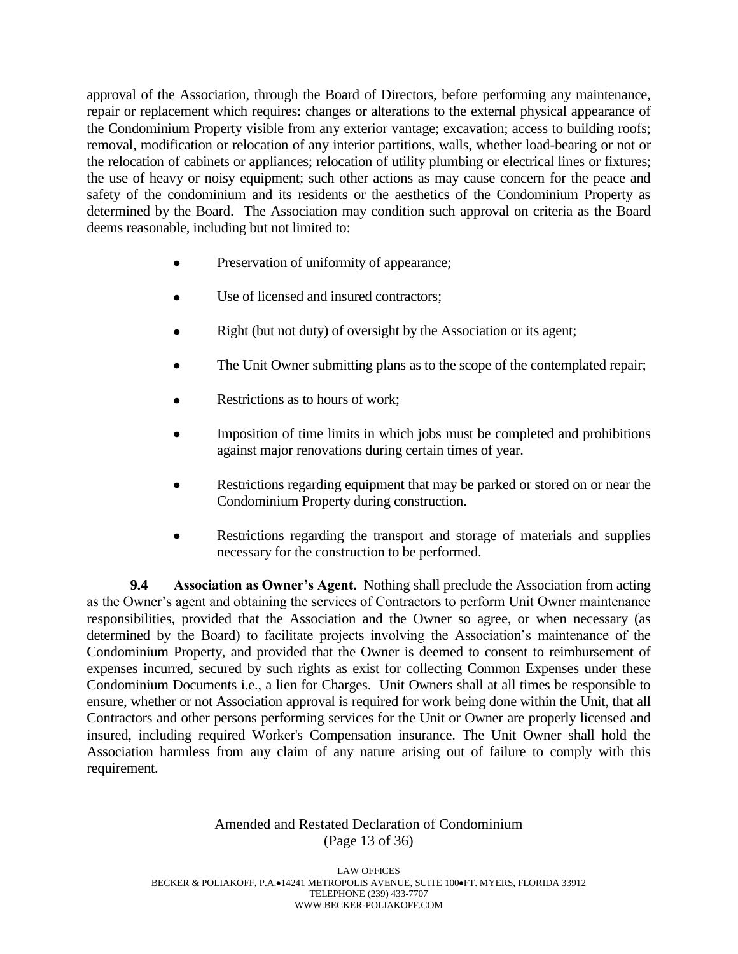approval of the Association, through the Board of Directors, before performing any maintenance, repair or replacement which requires: changes or alterations to the external physical appearance of the Condominium Property visible from any exterior vantage; excavation; access to building roofs; removal, modification or relocation of any interior partitions, walls, whether load-bearing or not or the relocation of cabinets or appliances; relocation of utility plumbing or electrical lines or fixtures; the use of heavy or noisy equipment; such other actions as may cause concern for the peace and safety of the condominium and its residents or the aesthetics of the Condominium Property as determined by the Board. The Association may condition such approval on criteria as the Board deems reasonable, including but not limited to:

- Preservation of uniformity of appearance;
- Use of licensed and insured contractors;
- Right (but not duty) of oversight by the Association or its agent;
- The Unit Owner submitting plans as to the scope of the contemplated repair;
- Restrictions as to hours of work;
- Imposition of time limits in which jobs must be completed and prohibitions against major renovations during certain times of year.
- Restrictions regarding equipment that may be parked or stored on or near the Condominium Property during construction.
- Restrictions regarding the transport and storage of materials and supplies necessary for the construction to be performed.

**9.4 Association as Owner's Agent.** Nothing shall preclude the Association from acting as the Owner's agent and obtaining the services of Contractors to perform Unit Owner maintenance responsibilities, provided that the Association and the Owner so agree, or when necessary (as determined by the Board) to facilitate projects involving the Association's maintenance of the Condominium Property, and provided that the Owner is deemed to consent to reimbursement of expenses incurred, secured by such rights as exist for collecting Common Expenses under these Condominium Documents i.e., a lien for Charges. Unit Owners shall at all times be responsible to ensure, whether or not Association approval is required for work being done within the Unit, that all Contractors and other persons performing services for the Unit or Owner are properly licensed and insured, including required Worker's Compensation insurance. The Unit Owner shall hold the Association harmless from any claim of any nature arising out of failure to comply with this requirement.

# Amended and Restated Declaration of Condominium (Page 13 of 36)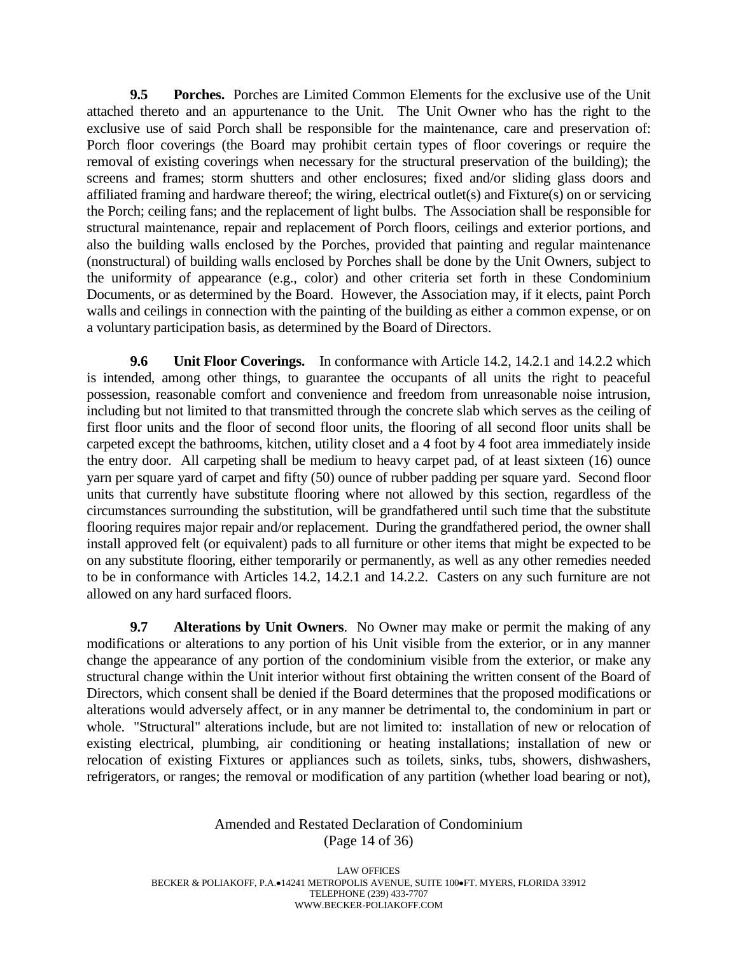**9.5 Porches.** Porches are Limited Common Elements for the exclusive use of the Unit attached thereto and an appurtenance to the Unit. The Unit Owner who has the right to the exclusive use of said Porch shall be responsible for the maintenance, care and preservation of: Porch floor coverings (the Board may prohibit certain types of floor coverings or require the removal of existing coverings when necessary for the structural preservation of the building); the screens and frames; storm shutters and other enclosures; fixed and/or sliding glass doors and affiliated framing and hardware thereof; the wiring, electrical outlet(s) and Fixture(s) on or servicing the Porch; ceiling fans; and the replacement of light bulbs. The Association shall be responsible for structural maintenance, repair and replacement of Porch floors, ceilings and exterior portions, and also the building walls enclosed by the Porches, provided that painting and regular maintenance (nonstructural) of building walls enclosed by Porches shall be done by the Unit Owners, subject to the uniformity of appearance (e.g., color) and other criteria set forth in these Condominium Documents, or as determined by the Board. However, the Association may, if it elects, paint Porch walls and ceilings in connection with the painting of the building as either a common expense, or on a voluntary participation basis, as determined by the Board of Directors.

**9.6 Unit Floor Coverings.** In conformance with Article 14.2, 14.2.1 and 14.2.2 which is intended, among other things, to guarantee the occupants of all units the right to peaceful possession, reasonable comfort and convenience and freedom from unreasonable noise intrusion, including but not limited to that transmitted through the concrete slab which serves as the ceiling of first floor units and the floor of second floor units, the flooring of all second floor units shall be carpeted except the bathrooms, kitchen, utility closet and a 4 foot by 4 foot area immediately inside the entry door. All carpeting shall be medium to heavy carpet pad, of at least sixteen (16) ounce yarn per square yard of carpet and fifty (50) ounce of rubber padding per square yard. Second floor units that currently have substitute flooring where not allowed by this section, regardless of the circumstances surrounding the substitution, will be grandfathered until such time that the substitute flooring requires major repair and/or replacement. During the grandfathered period, the owner shall install approved felt (or equivalent) pads to all furniture or other items that might be expected to be on any substitute flooring, either temporarily or permanently, as well as any other remedies needed to be in conformance with Articles 14.2, 14.2.1 and 14.2.2. Casters on any such furniture are not allowed on any hard surfaced floors.

**9.7 Alterations by Unit Owners**. No Owner may make or permit the making of any modifications or alterations to any portion of his Unit visible from the exterior, or in any manner change the appearance of any portion of the condominium visible from the exterior, or make any structural change within the Unit interior without first obtaining the written consent of the Board of Directors, which consent shall be denied if the Board determines that the proposed modifications or alterations would adversely affect, or in any manner be detrimental to, the condominium in part or whole. "Structural" alterations include, but are not limited to: installation of new or relocation of existing electrical, plumbing, air conditioning or heating installations; installation of new or relocation of existing Fixtures or appliances such as toilets, sinks, tubs, showers, dishwashers, refrigerators, or ranges; the removal or modification of any partition (whether load bearing or not),

#### Amended and Restated Declaration of Condominium (Page 14 of 36)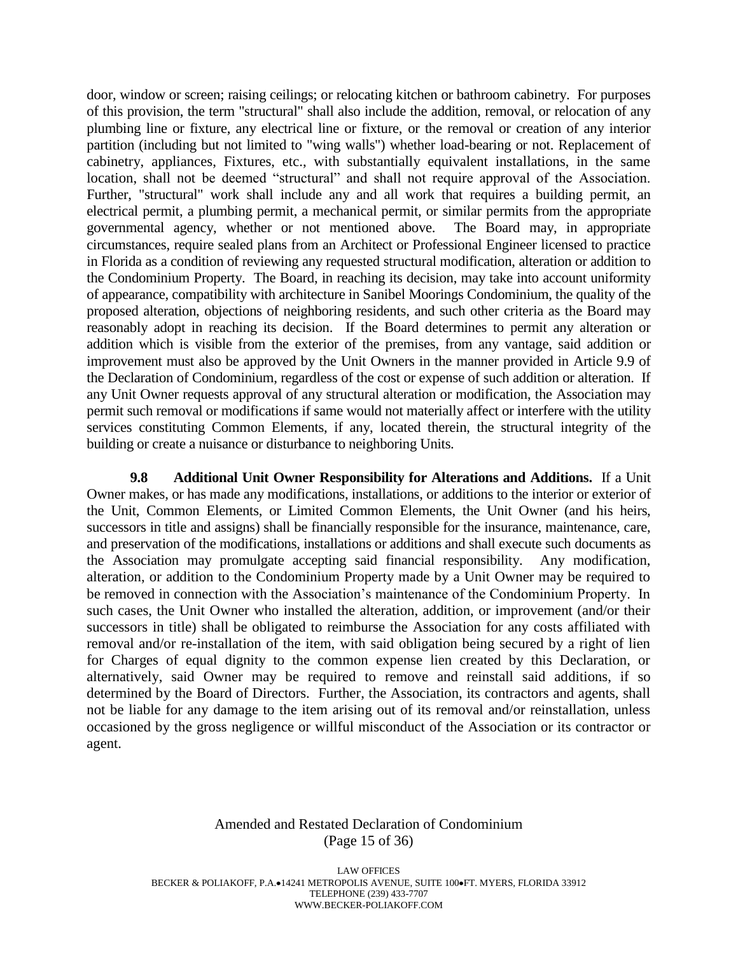door, window or screen; raising ceilings; or relocating kitchen or bathroom cabinetry. For purposes of this provision, the term "structural" shall also include the addition, removal, or relocation of any plumbing line or fixture, any electrical line or fixture, or the removal or creation of any interior partition (including but not limited to "wing walls") whether load-bearing or not. Replacement of cabinetry, appliances, Fixtures, etc., with substantially equivalent installations, in the same location, shall not be deemed "structural" and shall not require approval of the Association. Further, "structural" work shall include any and all work that requires a building permit, an electrical permit, a plumbing permit, a mechanical permit, or similar permits from the appropriate governmental agency, whether or not mentioned above. The Board may, in appropriate circumstances, require sealed plans from an Architect or Professional Engineer licensed to practice in Florida as a condition of reviewing any requested structural modification, alteration or addition to the Condominium Property. The Board, in reaching its decision, may take into account uniformity of appearance, compatibility with architecture in Sanibel Moorings Condominium, the quality of the proposed alteration, objections of neighboring residents, and such other criteria as the Board may reasonably adopt in reaching its decision. If the Board determines to permit any alteration or addition which is visible from the exterior of the premises, from any vantage, said addition or improvement must also be approved by the Unit Owners in the manner provided in Article 9.9 of the Declaration of Condominium, regardless of the cost or expense of such addition or alteration. If any Unit Owner requests approval of any structural alteration or modification, the Association may permit such removal or modifications if same would not materially affect or interfere with the utility services constituting Common Elements, if any, located therein, the structural integrity of the building or create a nuisance or disturbance to neighboring Units.

**9.8 Additional Unit Owner Responsibility for Alterations and Additions.** If a Unit Owner makes, or has made any modifications, installations, or additions to the interior or exterior of the Unit, Common Elements, or Limited Common Elements, the Unit Owner (and his heirs, successors in title and assigns) shall be financially responsible for the insurance, maintenance, care, and preservation of the modifications, installations or additions and shall execute such documents as the Association may promulgate accepting said financial responsibility. Any modification, alteration, or addition to the Condominium Property made by a Unit Owner may be required to be removed in connection with the Association's maintenance of the Condominium Property. In such cases, the Unit Owner who installed the alteration, addition, or improvement (and/or their successors in title) shall be obligated to reimburse the Association for any costs affiliated with removal and/or re-installation of the item, with said obligation being secured by a right of lien for Charges of equal dignity to the common expense lien created by this Declaration, or alternatively, said Owner may be required to remove and reinstall said additions, if so determined by the Board of Directors. Further, the Association, its contractors and agents, shall not be liable for any damage to the item arising out of its removal and/or reinstallation, unless occasioned by the gross negligence or willful misconduct of the Association or its contractor or agent.

#### Amended and Restated Declaration of Condominium (Page 15 of 36)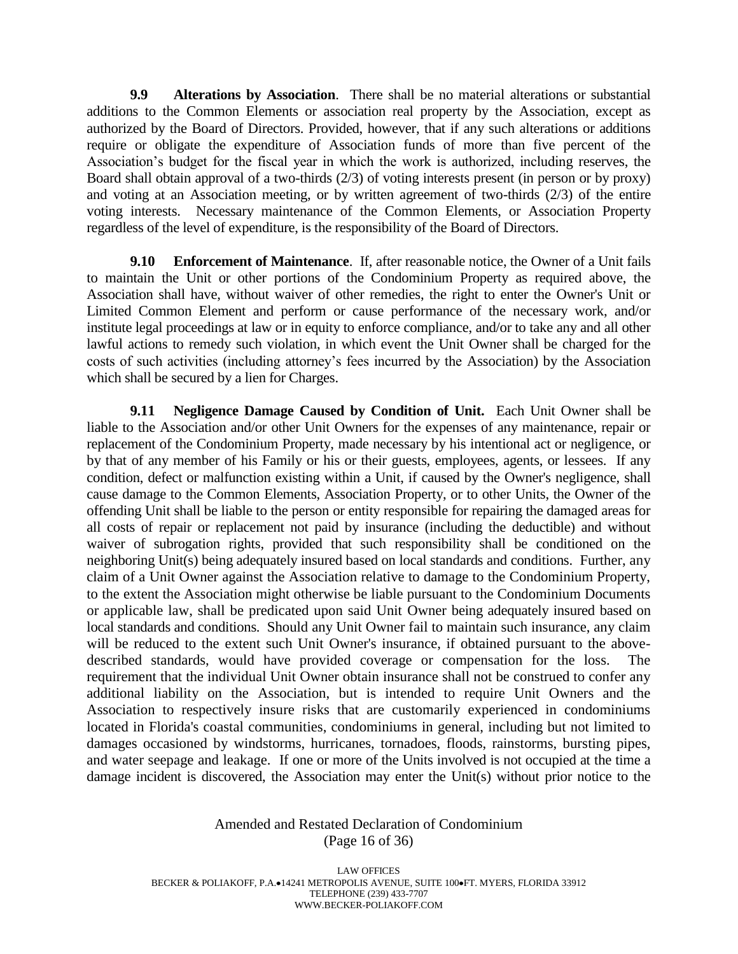**9.9 Alterations by Association**. There shall be no material alterations or substantial additions to the Common Elements or association real property by the Association, except as authorized by the Board of Directors. Provided, however, that if any such alterations or additions require or obligate the expenditure of Association funds of more than five percent of the Association's budget for the fiscal year in which the work is authorized, including reserves, the Board shall obtain approval of a two-thirds (2/3) of voting interests present (in person or by proxy) and voting at an Association meeting, or by written agreement of two-thirds  $(2/3)$  of the entire voting interests. Necessary maintenance of the Common Elements, or Association Property regardless of the level of expenditure, is the responsibility of the Board of Directors.

**9.10 Enforcement of Maintenance**. If, after reasonable notice, the Owner of a Unit fails to maintain the Unit or other portions of the Condominium Property as required above, the Association shall have, without waiver of other remedies, the right to enter the Owner's Unit or Limited Common Element and perform or cause performance of the necessary work, and/or institute legal proceedings at law or in equity to enforce compliance, and/or to take any and all other lawful actions to remedy such violation, in which event the Unit Owner shall be charged for the costs of such activities (including attorney's fees incurred by the Association) by the Association which shall be secured by a lien for Charges.

**9.11 Negligence Damage Caused by Condition of Unit.** Each Unit Owner shall be liable to the Association and/or other Unit Owners for the expenses of any maintenance, repair or replacement of the Condominium Property, made necessary by his intentional act or negligence, or by that of any member of his Family or his or their guests, employees, agents, or lessees. If any condition, defect or malfunction existing within a Unit, if caused by the Owner's negligence, shall cause damage to the Common Elements, Association Property, or to other Units, the Owner of the offending Unit shall be liable to the person or entity responsible for repairing the damaged areas for all costs of repair or replacement not paid by insurance (including the deductible) and without waiver of subrogation rights, provided that such responsibility shall be conditioned on the neighboring Unit(s) being adequately insured based on local standards and conditions. Further, any claim of a Unit Owner against the Association relative to damage to the Condominium Property, to the extent the Association might otherwise be liable pursuant to the Condominium Documents or applicable law, shall be predicated upon said Unit Owner being adequately insured based on local standards and conditions. Should any Unit Owner fail to maintain such insurance, any claim will be reduced to the extent such Unit Owner's insurance, if obtained pursuant to the abovedescribed standards, would have provided coverage or compensation for the loss. The requirement that the individual Unit Owner obtain insurance shall not be construed to confer any additional liability on the Association, but is intended to require Unit Owners and the Association to respectively insure risks that are customarily experienced in condominiums located in Florida's coastal communities, condominiums in general, including but not limited to damages occasioned by windstorms, hurricanes, tornadoes, floods, rainstorms, bursting pipes, and water seepage and leakage. If one or more of the Units involved is not occupied at the time a damage incident is discovered, the Association may enter the Unit(s) without prior notice to the

#### Amended and Restated Declaration of Condominium (Page 16 of 36)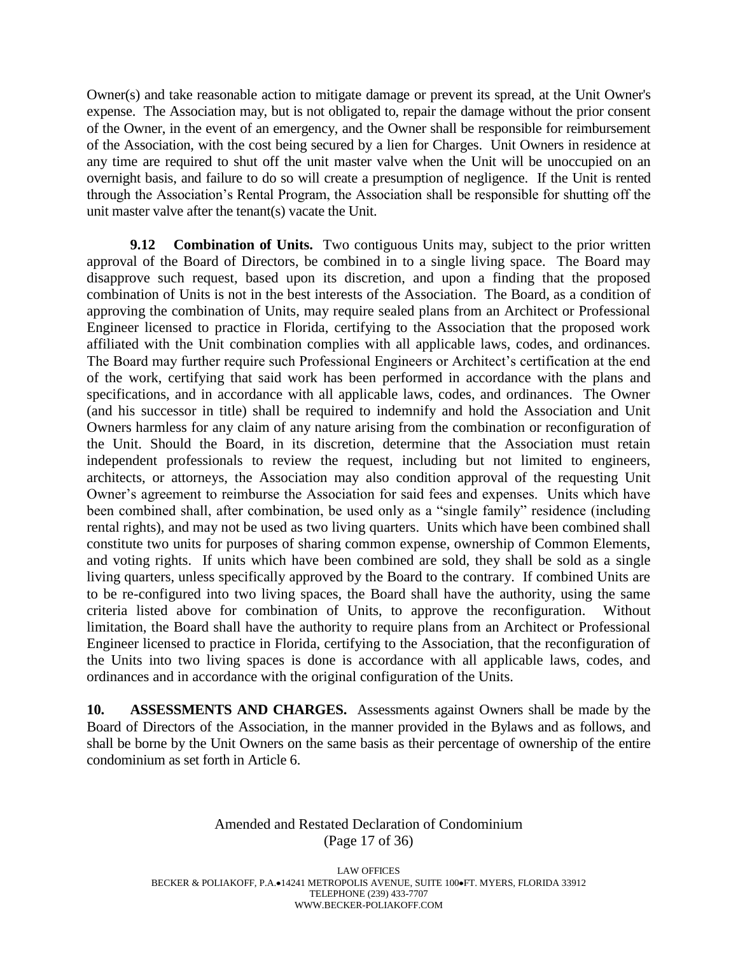Owner(s) and take reasonable action to mitigate damage or prevent its spread, at the Unit Owner's expense. The Association may, but is not obligated to, repair the damage without the prior consent of the Owner, in the event of an emergency, and the Owner shall be responsible for reimbursement of the Association, with the cost being secured by a lien for Charges. Unit Owners in residence at any time are required to shut off the unit master valve when the Unit will be unoccupied on an overnight basis, and failure to do so will create a presumption of negligence. If the Unit is rented through the Association's Rental Program, the Association shall be responsible for shutting off the unit master valve after the tenant(s) vacate the Unit.

**9.12 Combination of Units.** Two contiguous Units may, subject to the prior written approval of the Board of Directors, be combined in to a single living space. The Board may disapprove such request, based upon its discretion, and upon a finding that the proposed combination of Units is not in the best interests of the Association. The Board, as a condition of approving the combination of Units, may require sealed plans from an Architect or Professional Engineer licensed to practice in Florida, certifying to the Association that the proposed work affiliated with the Unit combination complies with all applicable laws, codes, and ordinances. The Board may further require such Professional Engineers or Architect's certification at the end of the work, certifying that said work has been performed in accordance with the plans and specifications, and in accordance with all applicable laws, codes, and ordinances. The Owner (and his successor in title) shall be required to indemnify and hold the Association and Unit Owners harmless for any claim of any nature arising from the combination or reconfiguration of the Unit. Should the Board, in its discretion, determine that the Association must retain independent professionals to review the request, including but not limited to engineers, architects, or attorneys, the Association may also condition approval of the requesting Unit Owner's agreement to reimburse the Association for said fees and expenses. Units which have been combined shall, after combination, be used only as a "single family" residence (including rental rights), and may not be used as two living quarters. Units which have been combined shall constitute two units for purposes of sharing common expense, ownership of Common Elements, and voting rights. If units which have been combined are sold, they shall be sold as a single living quarters, unless specifically approved by the Board to the contrary. If combined Units are to be re-configured into two living spaces, the Board shall have the authority, using the same criteria listed above for combination of Units, to approve the reconfiguration. Without limitation, the Board shall have the authority to require plans from an Architect or Professional Engineer licensed to practice in Florida, certifying to the Association, that the reconfiguration of the Units into two living spaces is done is accordance with all applicable laws, codes, and ordinances and in accordance with the original configuration of the Units.

**10. ASSESSMENTS AND CHARGES.** Assessments against Owners shall be made by the Board of Directors of the Association, in the manner provided in the Bylaws and as follows, and shall be borne by the Unit Owners on the same basis as their percentage of ownership of the entire condominium as set forth in Article 6.

#### Amended and Restated Declaration of Condominium (Page 17 of 36)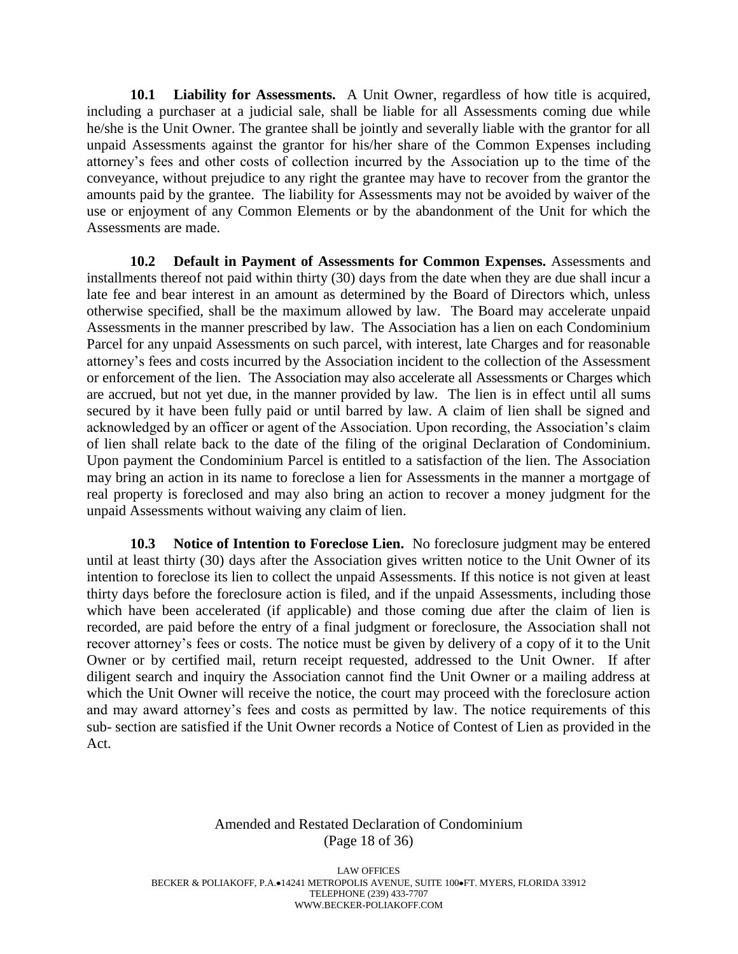**10.1 Liability for Assessments.** A Unit Owner, regardless of how title is acquired, including a purchaser at a judicial sale, shall be liable for all Assessments coming due while he/she is the Unit Owner. The grantee shall be jointly and severally liable with the grantor for all unpaid Assessments against the grantor for his/her share of the Common Expenses including attorney's fees and other costs of collection incurred by the Association up to the time of the conveyance, without prejudice to any right the grantee may have to recover from the grantor the amounts paid by the grantee. The liability for Assessments may not be avoided by waiver of the use or enjoyment of any Common Elements or by the abandonment of the Unit for which the Assessments are made.

**10.2 Default in Payment of Assessments for Common Expenses.** Assessments and installments thereof not paid within thirty (30) days from the date when they are due shall incur a late fee and bear interest in an amount as determined by the Board of Directors which, unless otherwise specified, shall be the maximum allowed by law. The Board may accelerate unpaid Assessments in the manner prescribed by law. The Association has a lien on each Condominium Parcel for any unpaid Assessments on such parcel, with interest, late Charges and for reasonable attorney's fees and costs incurred by the Association incident to the collection of the Assessment or enforcement of the lien. The Association may also accelerate all Assessments or Charges which are accrued, but not yet due, in the manner provided by law. The lien is in effect until all sums secured by it have been fully paid or until barred by law. A claim of lien shall be signed and acknowledged by an officer or agent of the Association. Upon recording, the Association's claim of lien shall relate back to the date of the filing of the original Declaration of Condominium. Upon payment the Condominium Parcel is entitled to a satisfaction of the lien. The Association may bring an action in its name to foreclose a lien for Assessments in the manner a mortgage of real property is foreclosed and may also bring an action to recover a money judgment for the unpaid Assessments without waiving any claim of lien.

**10.3 Notice of Intention to Foreclose Lien.** No foreclosure judgment may be entered until at least thirty (30) days after the Association gives written notice to the Unit Owner of its intention to foreclose its lien to collect the unpaid Assessments. If this notice is not given at least thirty days before the foreclosure action is filed, and if the unpaid Assessments, including those which have been accelerated (if applicable) and those coming due after the claim of lien is recorded, are paid before the entry of a final judgment or foreclosure, the Association shall not recover attorney's fees or costs. The notice must be given by delivery of a copy of it to the Unit Owner or by certified mail, return receipt requested, addressed to the Unit Owner. If after diligent search and inquiry the Association cannot find the Unit Owner or a mailing address at which the Unit Owner will receive the notice, the court may proceed with the foreclosure action and may award attorney's fees and costs as permitted by law. The notice requirements of this sub- section are satisfied if the Unit Owner records a Notice of Contest of Lien as provided in the Act.

# Amended and Restated Declaration of Condominium (Page 18 of 36)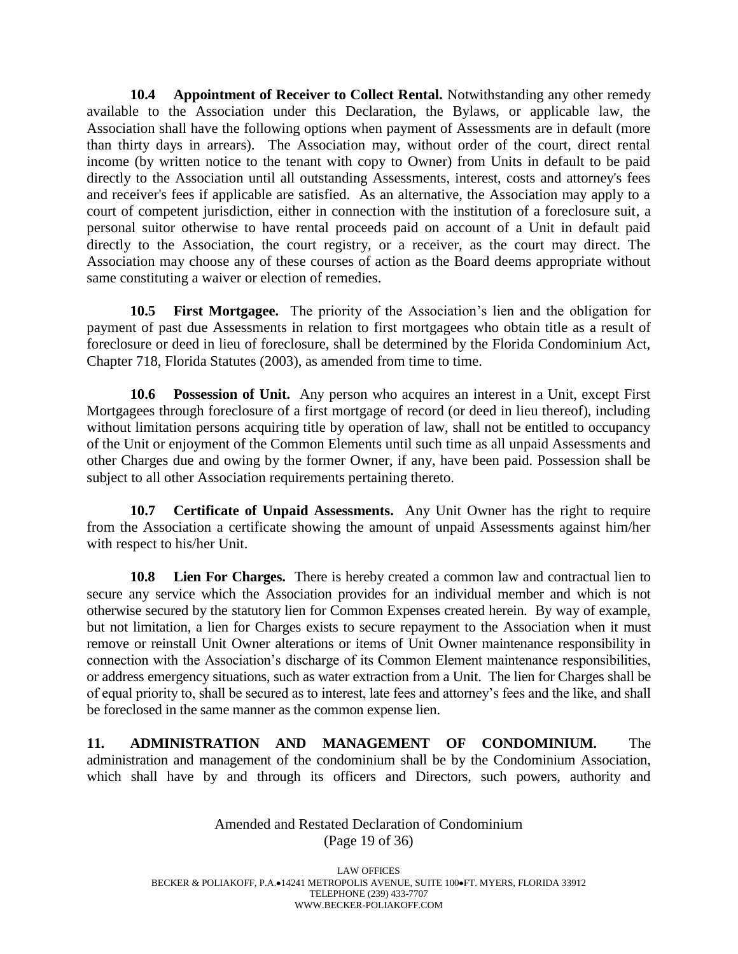**10.4 Appointment of Receiver to Collect Rental.** Notwithstanding any other remedy available to the Association under this Declaration, the Bylaws, or applicable law, the Association shall have the following options when payment of Assessments are in default (more than thirty days in arrears). The Association may, without order of the court, direct rental income (by written notice to the tenant with copy to Owner) from Units in default to be paid directly to the Association until all outstanding Assessments, interest, costs and attorney's fees and receiver's fees if applicable are satisfied. As an alternative, the Association may apply to a court of competent jurisdiction, either in connection with the institution of a foreclosure suit, a personal suitor otherwise to have rental proceeds paid on account of a Unit in default paid directly to the Association, the court registry, or a receiver, as the court may direct. The Association may choose any of these courses of action as the Board deems appropriate without same constituting a waiver or election of remedies.

**10.5 First Mortgagee.** The priority of the Association's lien and the obligation for payment of past due Assessments in relation to first mortgagees who obtain title as a result of foreclosure or deed in lieu of foreclosure, shall be determined by the Florida Condominium Act, Chapter 718, Florida Statutes (2003), as amended from time to time.

**10.6 Possession of Unit.** Any person who acquires an interest in a Unit, except First Mortgagees through foreclosure of a first mortgage of record (or deed in lieu thereof), including without limitation persons acquiring title by operation of law, shall not be entitled to occupancy of the Unit or enjoyment of the Common Elements until such time as all unpaid Assessments and other Charges due and owing by the former Owner, if any, have been paid. Possession shall be subject to all other Association requirements pertaining thereto.

**10.7 Certificate of Unpaid Assessments.** Any Unit Owner has the right to require from the Association a certificate showing the amount of unpaid Assessments against him/her with respect to his/her Unit.

**10.8 Lien For Charges.** There is hereby created a common law and contractual lien to secure any service which the Association provides for an individual member and which is not otherwise secured by the statutory lien for Common Expenses created herein. By way of example, but not limitation, a lien for Charges exists to secure repayment to the Association when it must remove or reinstall Unit Owner alterations or items of Unit Owner maintenance responsibility in connection with the Association's discharge of its Common Element maintenance responsibilities, or address emergency situations, such as water extraction from a Unit. The lien for Charges shall be of equal priority to, shall be secured as to interest, late fees and attorney's fees and the like, and shall be foreclosed in the same manner as the common expense lien.

**11. ADMINISTRATION AND MANAGEMENT OF CONDOMINIUM.** The administration and management of the condominium shall be by the Condominium Association, which shall have by and through its officers and Directors, such powers, authority and

> Amended and Restated Declaration of Condominium (Page 19 of 36)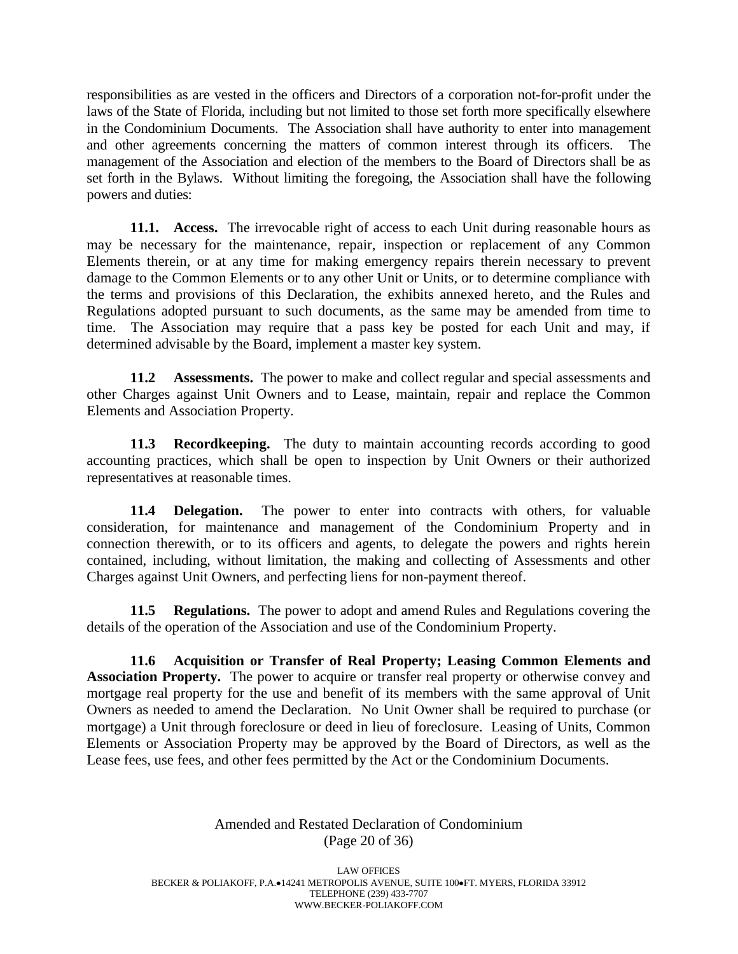responsibilities as are vested in the officers and Directors of a corporation not-for-profit under the laws of the State of Florida, including but not limited to those set forth more specifically elsewhere in the Condominium Documents. The Association shall have authority to enter into management and other agreements concerning the matters of common interest through its officers. The management of the Association and election of the members to the Board of Directors shall be as set forth in the Bylaws. Without limiting the foregoing, the Association shall have the following powers and duties:

**11.1. Access.** The irrevocable right of access to each Unit during reasonable hours as may be necessary for the maintenance, repair, inspection or replacement of any Common Elements therein, or at any time for making emergency repairs therein necessary to prevent damage to the Common Elements or to any other Unit or Units, or to determine compliance with the terms and provisions of this Declaration, the exhibits annexed hereto, and the Rules and Regulations adopted pursuant to such documents, as the same may be amended from time to time. The Association may require that a pass key be posted for each Unit and may, if determined advisable by the Board, implement a master key system.

**11.2 Assessments.** The power to make and collect regular and special assessments and other Charges against Unit Owners and to Lease, maintain, repair and replace the Common Elements and Association Property.

**11.3 Recordkeeping.** The duty to maintain accounting records according to good accounting practices, which shall be open to inspection by Unit Owners or their authorized representatives at reasonable times.

**11.4 Delegation.** The power to enter into contracts with others, for valuable consideration, for maintenance and management of the Condominium Property and in connection therewith, or to its officers and agents, to delegate the powers and rights herein contained, including, without limitation, the making and collecting of Assessments and other Charges against Unit Owners, and perfecting liens for non-payment thereof.

**11.5 Regulations.** The power to adopt and amend Rules and Regulations covering the details of the operation of the Association and use of the Condominium Property.

**11.6 Acquisition or Transfer of Real Property; Leasing Common Elements and Association Property.** The power to acquire or transfer real property or otherwise convey and mortgage real property for the use and benefit of its members with the same approval of Unit Owners as needed to amend the Declaration. No Unit Owner shall be required to purchase (or mortgage) a Unit through foreclosure or deed in lieu of foreclosure. Leasing of Units, Common Elements or Association Property may be approved by the Board of Directors, as well as the Lease fees, use fees, and other fees permitted by the Act or the Condominium Documents.

> Amended and Restated Declaration of Condominium (Page 20 of 36)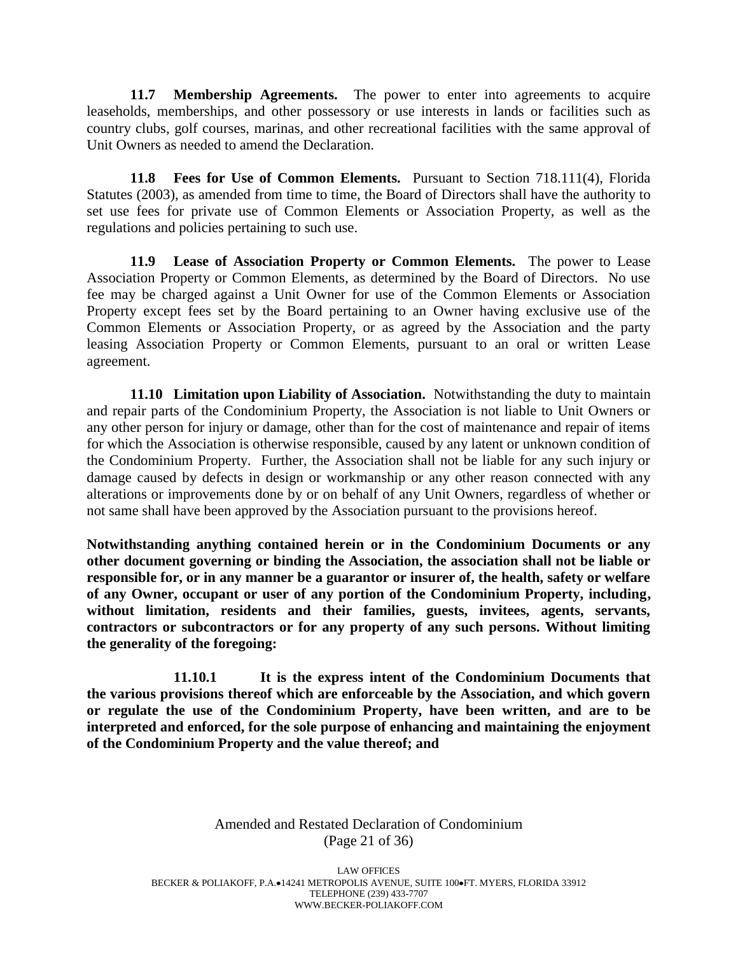**11.7 Membership Agreements.** The power to enter into agreements to acquire leaseholds, memberships, and other possessory or use interests in lands or facilities such as country clubs, golf courses, marinas, and other recreational facilities with the same approval of Unit Owners as needed to amend the Declaration.

**11.8 Fees for Use of Common Elements.** Pursuant to Section 718.111(4), Florida Statutes (2003), as amended from time to time, the Board of Directors shall have the authority to set use fees for private use of Common Elements or Association Property, as well as the regulations and policies pertaining to such use.

**11.9 Lease of Association Property or Common Elements.** The power to Lease Association Property or Common Elements, as determined by the Board of Directors. No use fee may be charged against a Unit Owner for use of the Common Elements or Association Property except fees set by the Board pertaining to an Owner having exclusive use of the Common Elements or Association Property, or as agreed by the Association and the party leasing Association Property or Common Elements, pursuant to an oral or written Lease agreement.

**11.10 Limitation upon Liability of Association.** Notwithstanding the duty to maintain and repair parts of the Condominium Property, the Association is not liable to Unit Owners or any other person for injury or damage, other than for the cost of maintenance and repair of items for which the Association is otherwise responsible, caused by any latent or unknown condition of the Condominium Property. Further, the Association shall not be liable for any such injury or damage caused by defects in design or workmanship or any other reason connected with any alterations or improvements done by or on behalf of any Unit Owners, regardless of whether or not same shall have been approved by the Association pursuant to the provisions hereof.

**Notwithstanding anything contained herein or in the Condominium Documents or any other document governing or binding the Association, the association shall not be liable or responsible for, or in any manner be a guarantor or insurer of, the health, safety or welfare of any Owner, occupant or user of any portion of the Condominium Property, including, without limitation, residents and their families, guests, invitees, agents, servants, contractors or subcontractors or for any property of any such persons. Without limiting the generality of the foregoing:** 

**11.10.1 It is the express intent of the Condominium Documents that the various provisions thereof which are enforceable by the Association, and which govern or regulate the use of the Condominium Property, have been written, and are to be interpreted and enforced, for the sole purpose of enhancing and maintaining the enjoyment of the Condominium Property and the value thereof; and**

> Amended and Restated Declaration of Condominium (Page 21 of 36)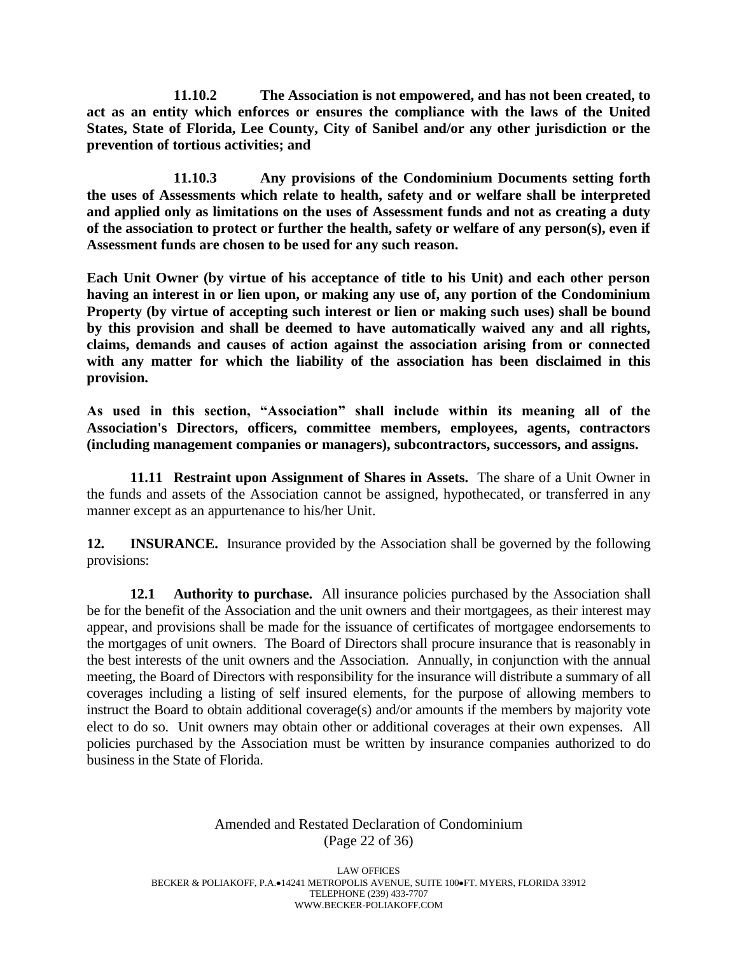**11.10.2 The Association is not empowered, and has not been created, to act as an entity which enforces or ensures the compliance with the laws of the United States, State of Florida, Lee County, City of Sanibel and/or any other jurisdiction or the prevention of tortious activities; and** 

**11.10.3 Any provisions of the Condominium Documents setting forth the uses of Assessments which relate to health, safety and or welfare shall be interpreted and applied only as limitations on the uses of Assessment funds and not as creating a duty of the association to protect or further the health, safety or welfare of any person(s), even if Assessment funds are chosen to be used for any such reason.**

**Each Unit Owner (by virtue of his acceptance of title to his Unit) and each other person having an interest in or lien upon, or making any use of, any portion of the Condominium Property (by virtue of accepting such interest or lien or making such uses) shall be bound by this provision and shall be deemed to have automatically waived any and all rights, claims, demands and causes of action against the association arising from or connected with any matter for which the liability of the association has been disclaimed in this provision.** 

**As used in this section, "Association" shall include within its meaning all of the Association's Directors, officers, committee members, employees, agents, contractors (including management companies or managers), subcontractors, successors, and assigns.** 

**11.11 Restraint upon Assignment of Shares in Assets.** The share of a Unit Owner in the funds and assets of the Association cannot be assigned, hypothecated, or transferred in any manner except as an appurtenance to his/her Unit.

**12. INSURANCE.** Insurance provided by the Association shall be governed by the following provisions:

**12.1 Authority to purchase.** All insurance policies purchased by the Association shall be for the benefit of the Association and the unit owners and their mortgagees, as their interest may appear, and provisions shall be made for the issuance of certificates of mortgagee endorsements to the mortgages of unit owners. The Board of Directors shall procure insurance that is reasonably in the best interests of the unit owners and the Association. Annually, in conjunction with the annual meeting, the Board of Directors with responsibility for the insurance will distribute a summary of all coverages including a listing of self insured elements, for the purpose of allowing members to instruct the Board to obtain additional coverage(s) and/or amounts if the members by majority vote elect to do so. Unit owners may obtain other or additional coverages at their own expenses. All policies purchased by the Association must be written by insurance companies authorized to do business in the State of Florida.

#### Amended and Restated Declaration of Condominium (Page 22 of 36)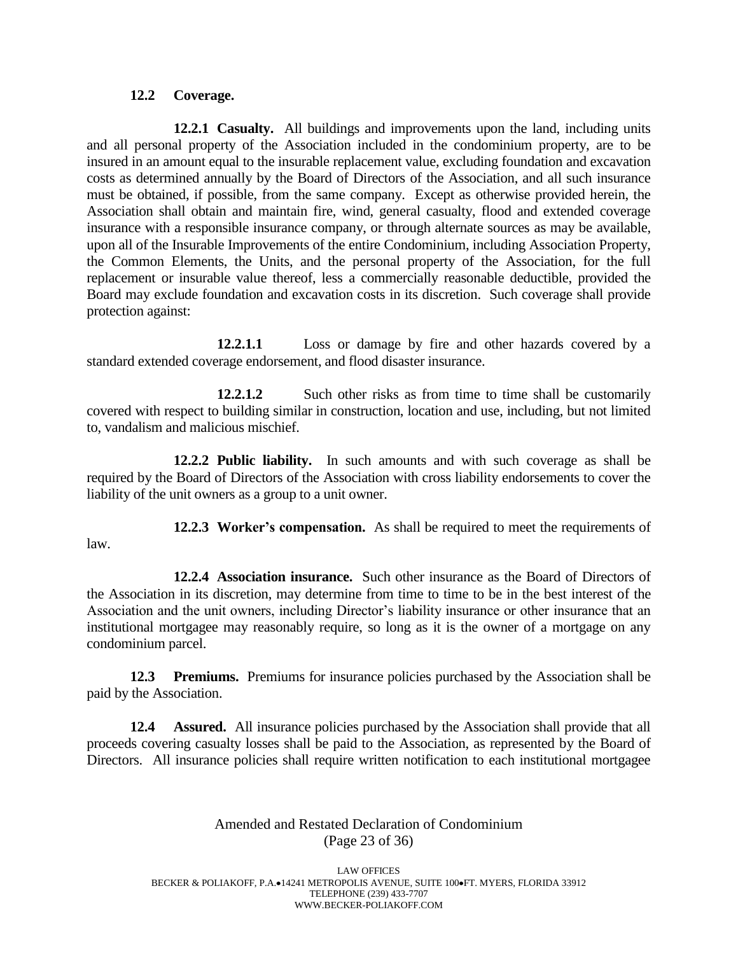#### **12.2 Coverage.**

**12.2.1 Casualty.** All buildings and improvements upon the land, including units and all personal property of the Association included in the condominium property, are to be insured in an amount equal to the insurable replacement value, excluding foundation and excavation costs as determined annually by the Board of Directors of the Association, and all such insurance must be obtained, if possible, from the same company. Except as otherwise provided herein, the Association shall obtain and maintain fire, wind, general casualty, flood and extended coverage insurance with a responsible insurance company, or through alternate sources as may be available, upon all of the Insurable Improvements of the entire Condominium, including Association Property, the Common Elements, the Units, and the personal property of the Association, for the full replacement or insurable value thereof, less a commercially reasonable deductible, provided the Board may exclude foundation and excavation costs in its discretion. Such coverage shall provide protection against:

**12.2.1.1** Loss or damage by fire and other hazards covered by a standard extended coverage endorsement, and flood disaster insurance.

**12.2.1.2** Such other risks as from time to time shall be customarily covered with respect to building similar in construction, location and use, including, but not limited to, vandalism and malicious mischief.

**12.2.2 Public liability.** In such amounts and with such coverage as shall be required by the Board of Directors of the Association with cross liability endorsements to cover the liability of the unit owners as a group to a unit owner.

**12.2.3 Worker's compensation.** As shall be required to meet the requirements of law.

**12.2.4 Association insurance.** Such other insurance as the Board of Directors of the Association in its discretion, may determine from time to time to be in the best interest of the Association and the unit owners, including Director's liability insurance or other insurance that an institutional mortgagee may reasonably require, so long as it is the owner of a mortgage on any condominium parcel.

**12.3 Premiums.** Premiums for insurance policies purchased by the Association shall be paid by the Association.

**12.4 Assured.** All insurance policies purchased by the Association shall provide that all proceeds covering casualty losses shall be paid to the Association, as represented by the Board of Directors. All insurance policies shall require written notification to each institutional mortgagee

# Amended and Restated Declaration of Condominium (Page 23 of 36)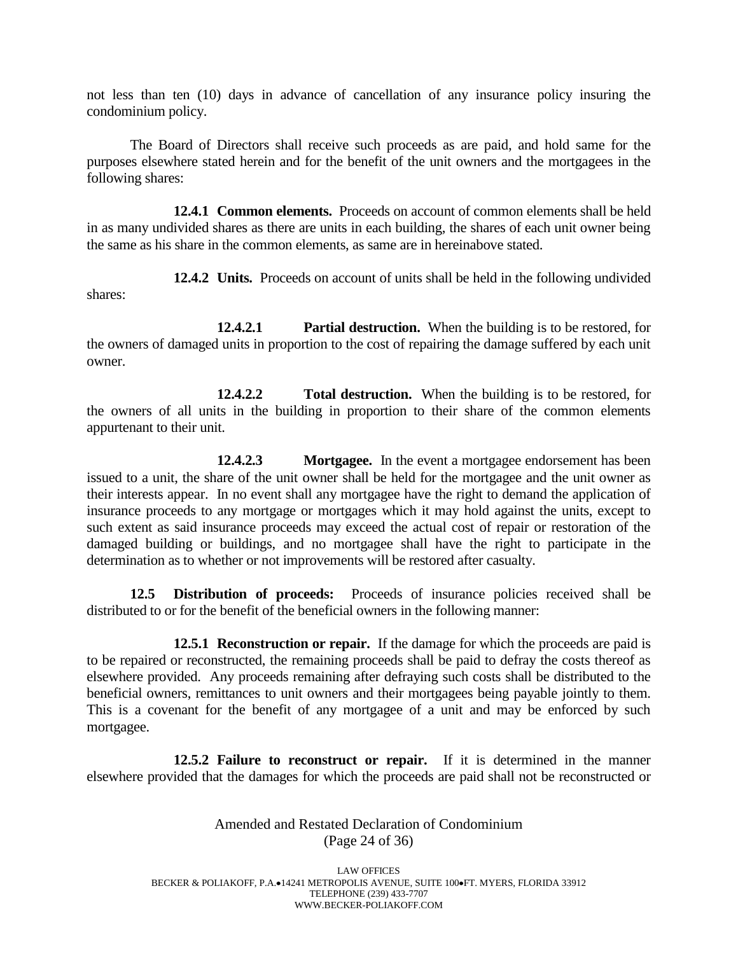not less than ten (10) days in advance of cancellation of any insurance policy insuring the condominium policy.

The Board of Directors shall receive such proceeds as are paid, and hold same for the purposes elsewhere stated herein and for the benefit of the unit owners and the mortgagees in the following shares:

**12.4.1 Common elements.** Proceeds on account of common elements shall be held in as many undivided shares as there are units in each building, the shares of each unit owner being the same as his share in the common elements, as same are in hereinabove stated.

**12.4.2 Units.** Proceeds on account of units shall be held in the following undivided shares:

**12.4.2.1 Partial destruction.** When the building is to be restored, for the owners of damaged units in proportion to the cost of repairing the damage suffered by each unit owner.

**12.4.2.2 Total destruction.** When the building is to be restored, for the owners of all units in the building in proportion to their share of the common elements appurtenant to their unit.

**12.4.2.3 Mortgagee.** In the event a mortgagee endorsement has been issued to a unit, the share of the unit owner shall be held for the mortgagee and the unit owner as their interests appear. In no event shall any mortgagee have the right to demand the application of insurance proceeds to any mortgage or mortgages which it may hold against the units, except to such extent as said insurance proceeds may exceed the actual cost of repair or restoration of the damaged building or buildings, and no mortgagee shall have the right to participate in the determination as to whether or not improvements will be restored after casualty.

**12.5 Distribution of proceeds:** Proceeds of insurance policies received shall be distributed to or for the benefit of the beneficial owners in the following manner:

**12.5.1 Reconstruction or repair.** If the damage for which the proceeds are paid is to be repaired or reconstructed, the remaining proceeds shall be paid to defray the costs thereof as elsewhere provided. Any proceeds remaining after defraying such costs shall be distributed to the beneficial owners, remittances to unit owners and their mortgagees being payable jointly to them. This is a covenant for the benefit of any mortgagee of a unit and may be enforced by such mortgagee.

**12.5.2 Failure to reconstruct or repair.** If it is determined in the manner elsewhere provided that the damages for which the proceeds are paid shall not be reconstructed or

> Amended and Restated Declaration of Condominium (Page 24 of 36)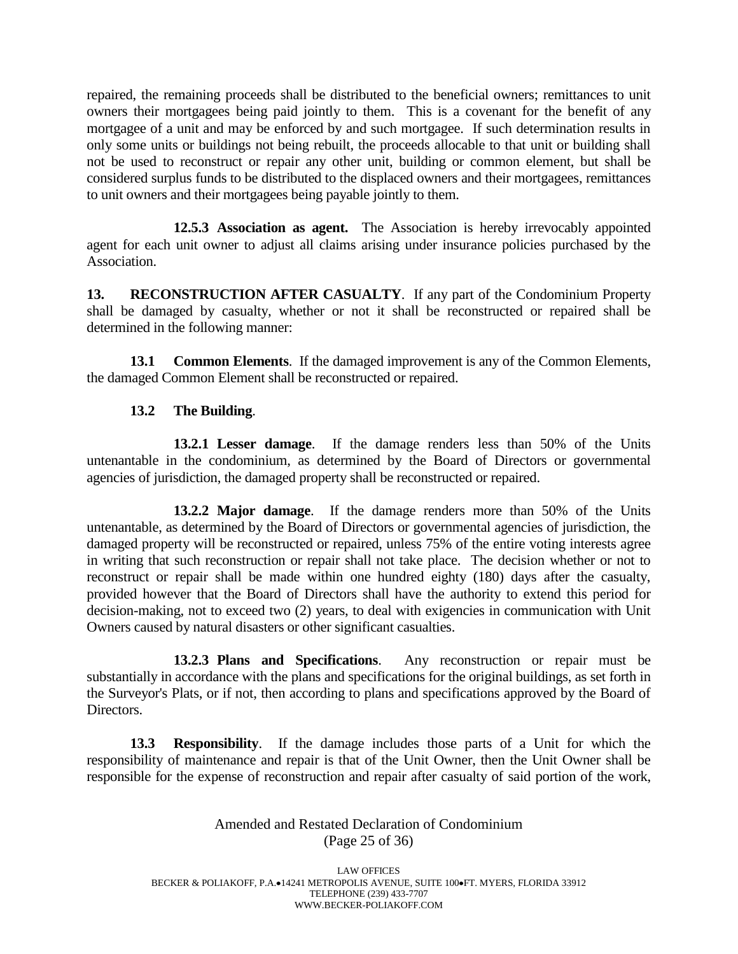repaired, the remaining proceeds shall be distributed to the beneficial owners; remittances to unit owners their mortgagees being paid jointly to them. This is a covenant for the benefit of any mortgagee of a unit and may be enforced by and such mortgagee. If such determination results in only some units or buildings not being rebuilt, the proceeds allocable to that unit or building shall not be used to reconstruct or repair any other unit, building or common element, but shall be considered surplus funds to be distributed to the displaced owners and their mortgagees, remittances to unit owners and their mortgagees being payable jointly to them.

**12.5.3 Association as agent.** The Association is hereby irrevocably appointed agent for each unit owner to adjust all claims arising under insurance policies purchased by the Association.

**13. RECONSTRUCTION AFTER CASUALTY**. If any part of the Condominium Property shall be damaged by casualty, whether or not it shall be reconstructed or repaired shall be determined in the following manner:

**13.1 Common Elements**. If the damaged improvement is any of the Common Elements, the damaged Common Element shall be reconstructed or repaired.

# **13.2 The Building**.

**13.2.1 Lesser damage**. If the damage renders less than 50% of the Units untenantable in the condominium, as determined by the Board of Directors or governmental agencies of jurisdiction, the damaged property shall be reconstructed or repaired.

**13.2.2 Major damage**. If the damage renders more than 50% of the Units untenantable, as determined by the Board of Directors or governmental agencies of jurisdiction, the damaged property will be reconstructed or repaired, unless 75% of the entire voting interests agree in writing that such reconstruction or repair shall not take place. The decision whether or not to reconstruct or repair shall be made within one hundred eighty (180) days after the casualty, provided however that the Board of Directors shall have the authority to extend this period for decision-making, not to exceed two (2) years, to deal with exigencies in communication with Unit Owners caused by natural disasters or other significant casualties.

**13.2.3 Plans and Specifications**. Any reconstruction or repair must be substantially in accordance with the plans and specifications for the original buildings, as set forth in the Surveyor's Plats, or if not, then according to plans and specifications approved by the Board of Directors.

**13.3 Responsibility**. If the damage includes those parts of a Unit for which the responsibility of maintenance and repair is that of the Unit Owner, then the Unit Owner shall be responsible for the expense of reconstruction and repair after casualty of said portion of the work,

# Amended and Restated Declaration of Condominium (Page 25 of 36)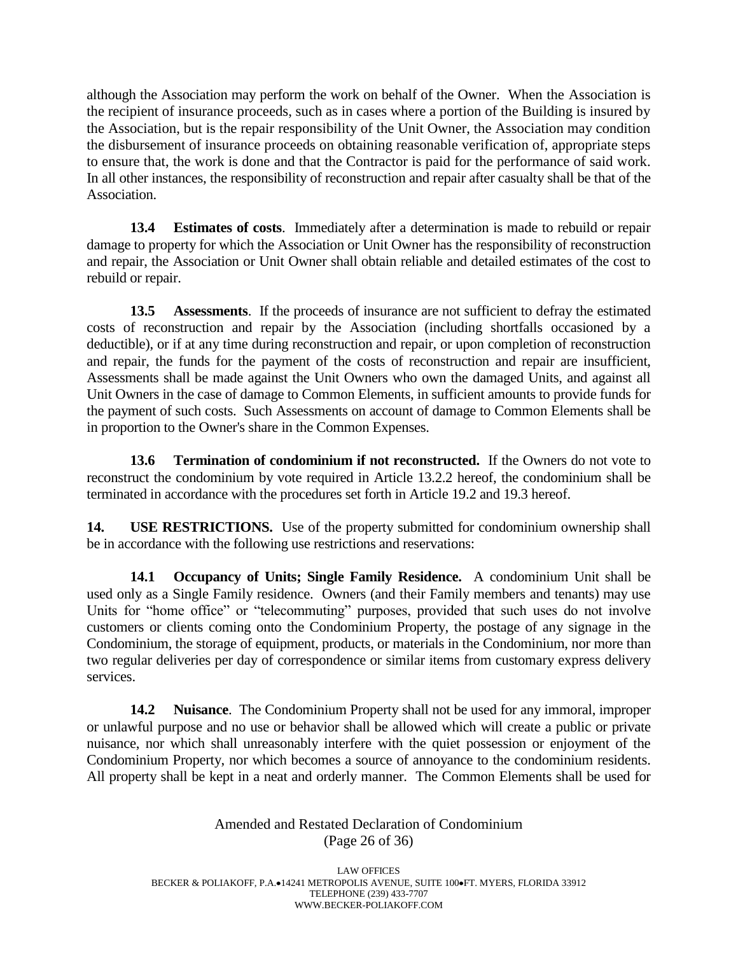although the Association may perform the work on behalf of the Owner. When the Association is the recipient of insurance proceeds, such as in cases where a portion of the Building is insured by the Association, but is the repair responsibility of the Unit Owner, the Association may condition the disbursement of insurance proceeds on obtaining reasonable verification of, appropriate steps to ensure that, the work is done and that the Contractor is paid for the performance of said work. In all other instances, the responsibility of reconstruction and repair after casualty shall be that of the Association.

**13.4 Estimates of costs**. Immediately after a determination is made to rebuild or repair damage to property for which the Association or Unit Owner has the responsibility of reconstruction and repair, the Association or Unit Owner shall obtain reliable and detailed estimates of the cost to rebuild or repair.

**13.5 Assessments**. If the proceeds of insurance are not sufficient to defray the estimated costs of reconstruction and repair by the Association (including shortfalls occasioned by a deductible), or if at any time during reconstruction and repair, or upon completion of reconstruction and repair, the funds for the payment of the costs of reconstruction and repair are insufficient, Assessments shall be made against the Unit Owners who own the damaged Units, and against all Unit Owners in the case of damage to Common Elements, in sufficient amounts to provide funds for the payment of such costs. Such Assessments on account of damage to Common Elements shall be in proportion to the Owner's share in the Common Expenses.

**13.6 Termination of condominium if not reconstructed.** If the Owners do not vote to reconstruct the condominium by vote required in Article 13.2.2 hereof, the condominium shall be terminated in accordance with the procedures set forth in Article 19.2 and 19.3 hereof.

**14. USE RESTRICTIONS.** Use of the property submitted for condominium ownership shall be in accordance with the following use restrictions and reservations:

**14.1 Occupancy of Units; Single Family Residence.** A condominium Unit shall be used only as a Single Family residence. Owners (and their Family members and tenants) may use Units for "home office" or "telecommuting" purposes, provided that such uses do not involve customers or clients coming onto the Condominium Property, the postage of any signage in the Condominium, the storage of equipment, products, or materials in the Condominium, nor more than two regular deliveries per day of correspondence or similar items from customary express delivery services.

**14.2 Nuisance**. The Condominium Property shall not be used for any immoral, improper or unlawful purpose and no use or behavior shall be allowed which will create a public or private nuisance, nor which shall unreasonably interfere with the quiet possession or enjoyment of the Condominium Property, nor which becomes a source of annoyance to the condominium residents. All property shall be kept in a neat and orderly manner. The Common Elements shall be used for

> Amended and Restated Declaration of Condominium (Page 26 of 36)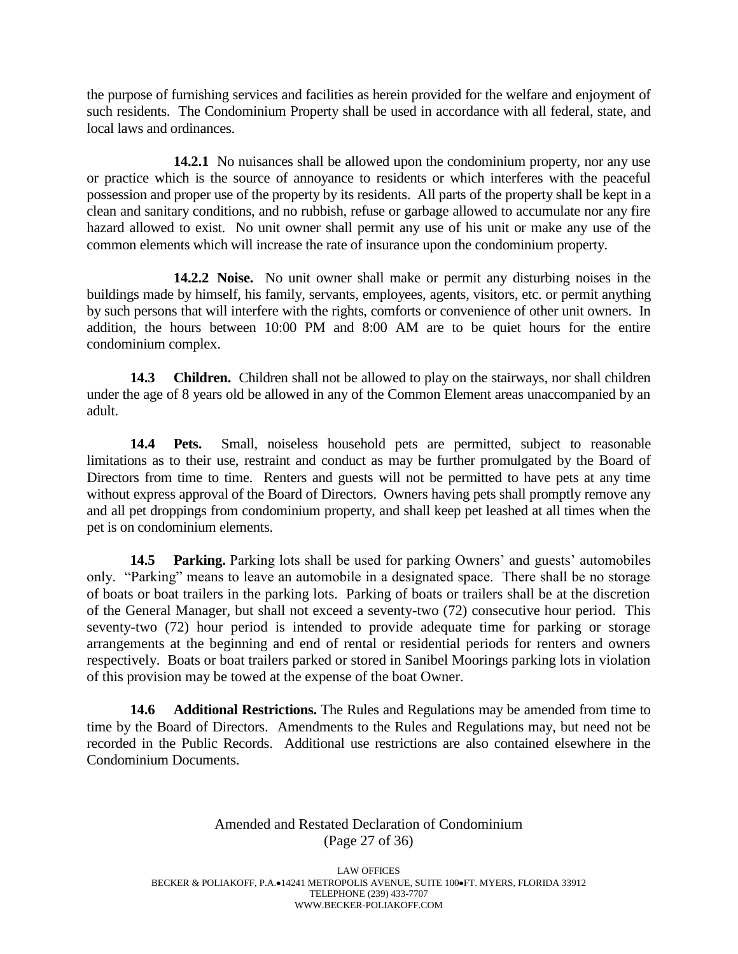the purpose of furnishing services and facilities as herein provided for the welfare and enjoyment of such residents. The Condominium Property shall be used in accordance with all federal, state, and local laws and ordinances.

**14.2.1** No nuisances shall be allowed upon the condominium property, nor any use or practice which is the source of annoyance to residents or which interferes with the peaceful possession and proper use of the property by its residents. All parts of the property shall be kept in a clean and sanitary conditions, and no rubbish, refuse or garbage allowed to accumulate nor any fire hazard allowed to exist. No unit owner shall permit any use of his unit or make any use of the common elements which will increase the rate of insurance upon the condominium property.

**14.2.2 Noise.** No unit owner shall make or permit any disturbing noises in the buildings made by himself, his family, servants, employees, agents, visitors, etc. or permit anything by such persons that will interfere with the rights, comforts or convenience of other unit owners. In addition, the hours between 10:00 PM and 8:00 AM are to be quiet hours for the entire condominium complex.

**14.3 Children.** Children shall not be allowed to play on the stairways, nor shall children under the age of 8 years old be allowed in any of the Common Element areas unaccompanied by an adult.

**14.4 Pets.** Small, noiseless household pets are permitted, subject to reasonable limitations as to their use, restraint and conduct as may be further promulgated by the Board of Directors from time to time. Renters and guests will not be permitted to have pets at any time without express approval of the Board of Directors. Owners having pets shall promptly remove any and all pet droppings from condominium property, and shall keep pet leashed at all times when the pet is on condominium elements.

**14.5 Parking.** Parking lots shall be used for parking Owners' and guests' automobiles only. "Parking" means to leave an automobile in a designated space. There shall be no storage of boats or boat trailers in the parking lots. Parking of boats or trailers shall be at the discretion of the General Manager, but shall not exceed a seventy-two (72) consecutive hour period. This seventy-two (72) hour period is intended to provide adequate time for parking or storage arrangements at the beginning and end of rental or residential periods for renters and owners respectively. Boats or boat trailers parked or stored in Sanibel Moorings parking lots in violation of this provision may be towed at the expense of the boat Owner.

**14.6 Additional Restrictions.** The Rules and Regulations may be amended from time to time by the Board of Directors. Amendments to the Rules and Regulations may, but need not be recorded in the Public Records. Additional use restrictions are also contained elsewhere in the Condominium Documents.

# Amended and Restated Declaration of Condominium (Page 27 of 36)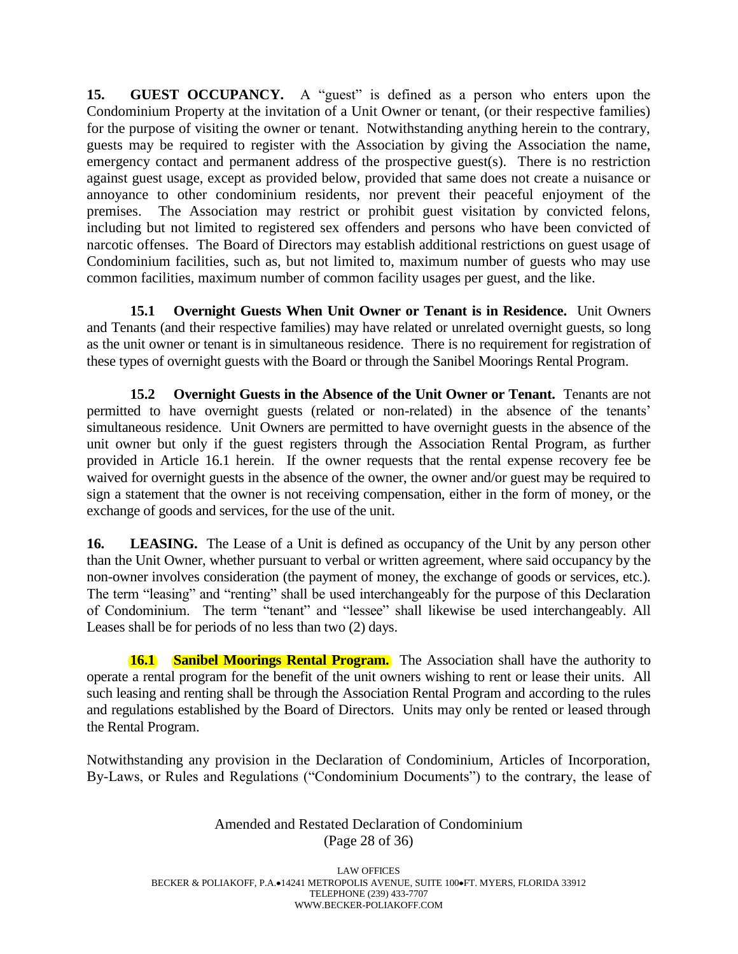**15. GUEST OCCUPANCY.** A "guest" is defined as a person who enters upon the Condominium Property at the invitation of a Unit Owner or tenant, (or their respective families) for the purpose of visiting the owner or tenant. Notwithstanding anything herein to the contrary, guests may be required to register with the Association by giving the Association the name, emergency contact and permanent address of the prospective guest(s). There is no restriction against guest usage, except as provided below, provided that same does not create a nuisance or annoyance to other condominium residents, nor prevent their peaceful enjoyment of the premises. The Association may restrict or prohibit guest visitation by convicted felons, including but not limited to registered sex offenders and persons who have been convicted of narcotic offenses. The Board of Directors may establish additional restrictions on guest usage of Condominium facilities, such as, but not limited to, maximum number of guests who may use common facilities, maximum number of common facility usages per guest, and the like.

**15.1 Overnight Guests When Unit Owner or Tenant is in Residence.** Unit Owners and Tenants (and their respective families) may have related or unrelated overnight guests, so long as the unit owner or tenant is in simultaneous residence. There is no requirement for registration of these types of overnight guests with the Board or through the Sanibel Moorings Rental Program.

**15.2 Overnight Guests in the Absence of the Unit Owner or Tenant.** Tenants are not permitted to have overnight guests (related or non-related) in the absence of the tenants' simultaneous residence. Unit Owners are permitted to have overnight guests in the absence of the unit owner but only if the guest registers through the Association Rental Program, as further provided in Article 16.1 herein. If the owner requests that the rental expense recovery fee be waived for overnight guests in the absence of the owner, the owner and/or guest may be required to sign a statement that the owner is not receiving compensation, either in the form of money, or the exchange of goods and services, for the use of the unit.

**16. LEASING.** The Lease of a Unit is defined as occupancy of the Unit by any person other than the Unit Owner, whether pursuant to verbal or written agreement, where said occupancy by the non-owner involves consideration (the payment of money, the exchange of goods or services, etc.). The term "leasing" and "renting" shall be used interchangeably for the purpose of this Declaration of Condominium. The term "tenant" and "lessee" shall likewise be used interchangeably. All Leases shall be for periods of no less than two (2) days.

**16.1 Sanibel Moorings Rental Program.** The Association shall have the authority to operate a rental program for the benefit of the unit owners wishing to rent or lease their units. All such leasing and renting shall be through the Association Rental Program and according to the rules and regulations established by the Board of Directors. Units may only be rented or leased through the Rental Program.

Notwithstanding any provision in the Declaration of Condominium, Articles of Incorporation, By-Laws, or Rules and Regulations ("Condominium Documents") to the contrary, the lease of

> Amended and Restated Declaration of Condominium (Page 28 of 36)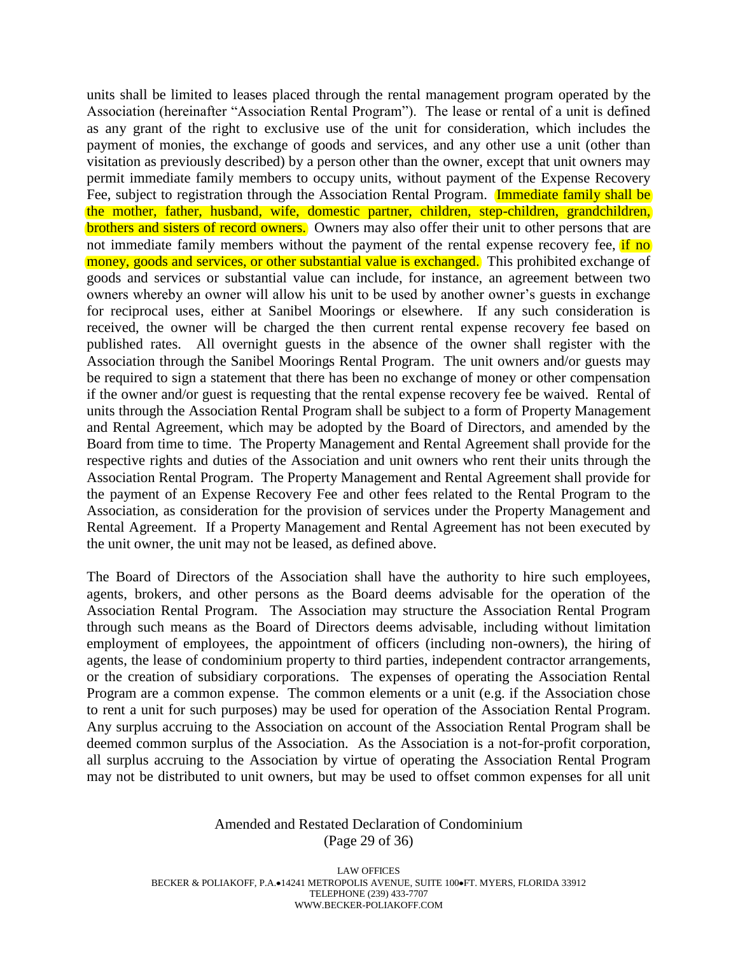units shall be limited to leases placed through the rental management program operated by the Association (hereinafter "Association Rental Program"). The lease or rental of a unit is defined as any grant of the right to exclusive use of the unit for consideration, which includes the payment of monies, the exchange of goods and services, and any other use a unit (other than visitation as previously described) by a person other than the owner, except that unit owners may permit immediate family members to occupy units, without payment of the Expense Recovery Fee, subject to registration through the Association Rental Program. Immediate family shall be the mother, father, husband, wife, domestic partner, children, step-children, grandchildren, brothers and sisters of record owners. Owners may also offer their unit to other persons that are not immediate family members without the payment of the rental expense recovery fee, if no money, goods and services, or other substantial value is exchanged. This prohibited exchange of goods and services or substantial value can include, for instance, an agreement between two owners whereby an owner will allow his unit to be used by another owner's guests in exchange for reciprocal uses, either at Sanibel Moorings or elsewhere. If any such consideration is received, the owner will be charged the then current rental expense recovery fee based on published rates. All overnight guests in the absence of the owner shall register with the Association through the Sanibel Moorings Rental Program. The unit owners and/or guests may be required to sign a statement that there has been no exchange of money or other compensation if the owner and/or guest is requesting that the rental expense recovery fee be waived. Rental of units through the Association Rental Program shall be subject to a form of Property Management and Rental Agreement, which may be adopted by the Board of Directors, and amended by the Board from time to time. The Property Management and Rental Agreement shall provide for the respective rights and duties of the Association and unit owners who rent their units through the Association Rental Program. The Property Management and Rental Agreement shall provide for the payment of an Expense Recovery Fee and other fees related to the Rental Program to the Association, as consideration for the provision of services under the Property Management and Rental Agreement. If a Property Management and Rental Agreement has not been executed by the unit owner, the unit may not be leased, as defined above.

The Board of Directors of the Association shall have the authority to hire such employees, agents, brokers, and other persons as the Board deems advisable for the operation of the Association Rental Program. The Association may structure the Association Rental Program through such means as the Board of Directors deems advisable, including without limitation employment of employees, the appointment of officers (including non-owners), the hiring of agents, the lease of condominium property to third parties, independent contractor arrangements, or the creation of subsidiary corporations. The expenses of operating the Association Rental Program are a common expense. The common elements or a unit (e.g. if the Association chose to rent a unit for such purposes) may be used for operation of the Association Rental Program. Any surplus accruing to the Association on account of the Association Rental Program shall be deemed common surplus of the Association. As the Association is a not-for-profit corporation, all surplus accruing to the Association by virtue of operating the Association Rental Program may not be distributed to unit owners, but may be used to offset common expenses for all unit

#### Amended and Restated Declaration of Condominium (Page 29 of 36)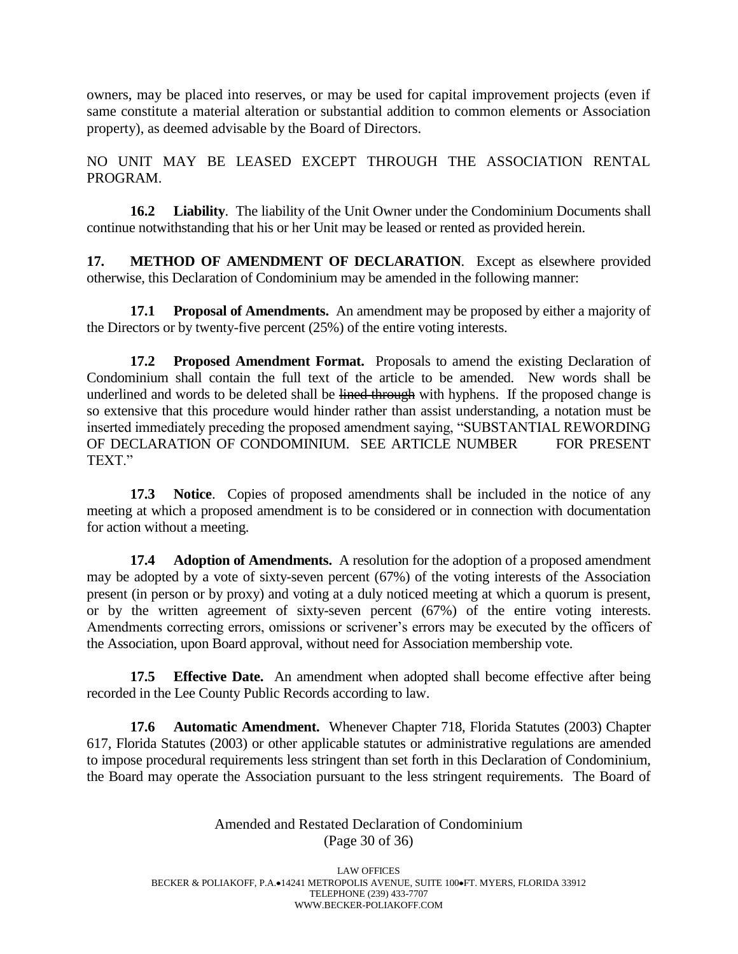owners, may be placed into reserves, or may be used for capital improvement projects (even if same constitute a material alteration or substantial addition to common elements or Association property), as deemed advisable by the Board of Directors.

NO UNIT MAY BE LEASED EXCEPT THROUGH THE ASSOCIATION RENTAL PROGRAM.

**16.2 Liability**. The liability of the Unit Owner under the Condominium Documents shall continue notwithstanding that his or her Unit may be leased or rented as provided herein.

**17. METHOD OF AMENDMENT OF DECLARATION**. Except as elsewhere provided otherwise, this Declaration of Condominium may be amended in the following manner:

**17.1 Proposal of Amendments.** An amendment may be proposed by either a majority of the Directors or by twenty-five percent (25%) of the entire voting interests.

**17.2 Proposed Amendment Format.** Proposals to amend the existing Declaration of Condominium shall contain the full text of the article to be amended. New words shall be underlined and words to be deleted shall be lined through with hyphens. If the proposed change is so extensive that this procedure would hinder rather than assist understanding, a notation must be inserted immediately preceding the proposed amendment saying, "SUBSTANTIAL REWORDING OF DECLARATION OF CONDOMINIUM. SEE ARTICLE NUMBER FOR PRESENT TEXT."

**17.3 Notice**. Copies of proposed amendments shall be included in the notice of any meeting at which a proposed amendment is to be considered or in connection with documentation for action without a meeting.

**17.4 Adoption of Amendments.** A resolution for the adoption of a proposed amendment may be adopted by a vote of sixty-seven percent (67%) of the voting interests of the Association present (in person or by proxy) and voting at a duly noticed meeting at which a quorum is present, or by the written agreement of sixty-seven percent (67%) of the entire voting interests. Amendments correcting errors, omissions or scrivener's errors may be executed by the officers of the Association, upon Board approval, without need for Association membership vote.

**17.5 Effective Date.** An amendment when adopted shall become effective after being recorded in the Lee County Public Records according to law.

**17.6 Automatic Amendment.** Whenever Chapter 718, Florida Statutes (2003) Chapter 617, Florida Statutes (2003) or other applicable statutes or administrative regulations are amended to impose procedural requirements less stringent than set forth in this Declaration of Condominium, the Board may operate the Association pursuant to the less stringent requirements. The Board of

> Amended and Restated Declaration of Condominium (Page 30 of 36)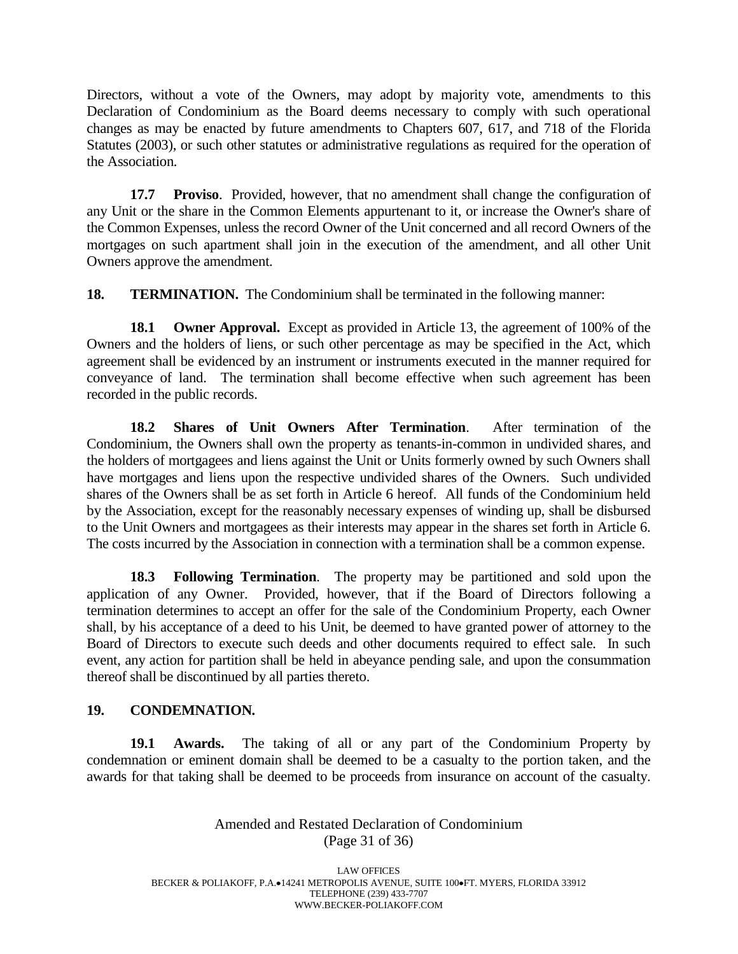Directors, without a vote of the Owners, may adopt by majority vote, amendments to this Declaration of Condominium as the Board deems necessary to comply with such operational changes as may be enacted by future amendments to Chapters 607, 617, and 718 of the Florida Statutes (2003), or such other statutes or administrative regulations as required for the operation of the Association.

**17.7 Proviso**. Provided, however, that no amendment shall change the configuration of any Unit or the share in the Common Elements appurtenant to it, or increase the Owner's share of the Common Expenses, unless the record Owner of the Unit concerned and all record Owners of the mortgages on such apartment shall join in the execution of the amendment, and all other Unit Owners approve the amendment.

**18. TERMINATION.** The Condominium shall be terminated in the following manner:

**18.1 Owner Approval.** Except as provided in Article 13, the agreement of 100% of the Owners and the holders of liens, or such other percentage as may be specified in the Act, which agreement shall be evidenced by an instrument or instruments executed in the manner required for conveyance of land. The termination shall become effective when such agreement has been recorded in the public records.

**18.2 Shares of Unit Owners After Termination**. After termination of the Condominium, the Owners shall own the property as tenants-in-common in undivided shares, and the holders of mortgagees and liens against the Unit or Units formerly owned by such Owners shall have mortgages and liens upon the respective undivided shares of the Owners. Such undivided shares of the Owners shall be as set forth in Article 6 hereof. All funds of the Condominium held by the Association, except for the reasonably necessary expenses of winding up, shall be disbursed to the Unit Owners and mortgagees as their interests may appear in the shares set forth in Article 6. The costs incurred by the Association in connection with a termination shall be a common expense.

**18.3 Following Termination**. The property may be partitioned and sold upon the application of any Owner. Provided, however, that if the Board of Directors following a termination determines to accept an offer for the sale of the Condominium Property, each Owner shall, by his acceptance of a deed to his Unit, be deemed to have granted power of attorney to the Board of Directors to execute such deeds and other documents required to effect sale. In such event, any action for partition shall be held in abeyance pending sale, and upon the consummation thereof shall be discontinued by all parties thereto.

# **19. CONDEMNATION.**

**19.1 Awards.** The taking of all or any part of the Condominium Property by condemnation or eminent domain shall be deemed to be a casualty to the portion taken, and the awards for that taking shall be deemed to be proceeds from insurance on account of the casualty.

> Amended and Restated Declaration of Condominium (Page 31 of 36)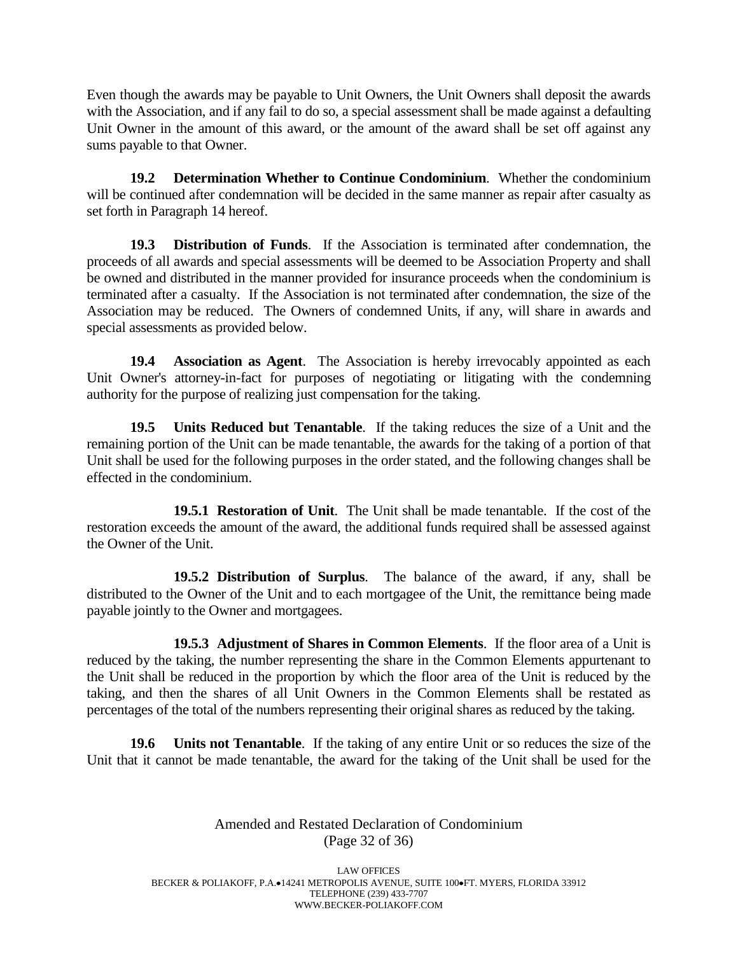Even though the awards may be payable to Unit Owners, the Unit Owners shall deposit the awards with the Association, and if any fail to do so, a special assessment shall be made against a defaulting Unit Owner in the amount of this award, or the amount of the award shall be set off against any sums payable to that Owner.

**19.2 Determination Whether to Continue Condominium**. Whether the condominium will be continued after condemnation will be decided in the same manner as repair after casualty as set forth in Paragraph 14 hereof.

**19.3 Distribution of Funds**. If the Association is terminated after condemnation, the proceeds of all awards and special assessments will be deemed to be Association Property and shall be owned and distributed in the manner provided for insurance proceeds when the condominium is terminated after a casualty. If the Association is not terminated after condemnation, the size of the Association may be reduced. The Owners of condemned Units, if any, will share in awards and special assessments as provided below.

**19.4 Association as Agent**. The Association is hereby irrevocably appointed as each Unit Owner's attorney-in-fact for purposes of negotiating or litigating with the condemning authority for the purpose of realizing just compensation for the taking.

**19.5 Units Reduced but Tenantable**. If the taking reduces the size of a Unit and the remaining portion of the Unit can be made tenantable, the awards for the taking of a portion of that Unit shall be used for the following purposes in the order stated, and the following changes shall be effected in the condominium.

**19.5.1 Restoration of Unit**. The Unit shall be made tenantable. If the cost of the restoration exceeds the amount of the award, the additional funds required shall be assessed against the Owner of the Unit.

**19.5.2 Distribution of Surplus**. The balance of the award, if any, shall be distributed to the Owner of the Unit and to each mortgagee of the Unit, the remittance being made payable jointly to the Owner and mortgagees.

**19.5.3 Adjustment of Shares in Common Elements**. If the floor area of a Unit is reduced by the taking, the number representing the share in the Common Elements appurtenant to the Unit shall be reduced in the proportion by which the floor area of the Unit is reduced by the taking, and then the shares of all Unit Owners in the Common Elements shall be restated as percentages of the total of the numbers representing their original shares as reduced by the taking.

**19.6 Units not Tenantable**. If the taking of any entire Unit or so reduces the size of the Unit that it cannot be made tenantable, the award for the taking of the Unit shall be used for the

> Amended and Restated Declaration of Condominium (Page 32 of 36)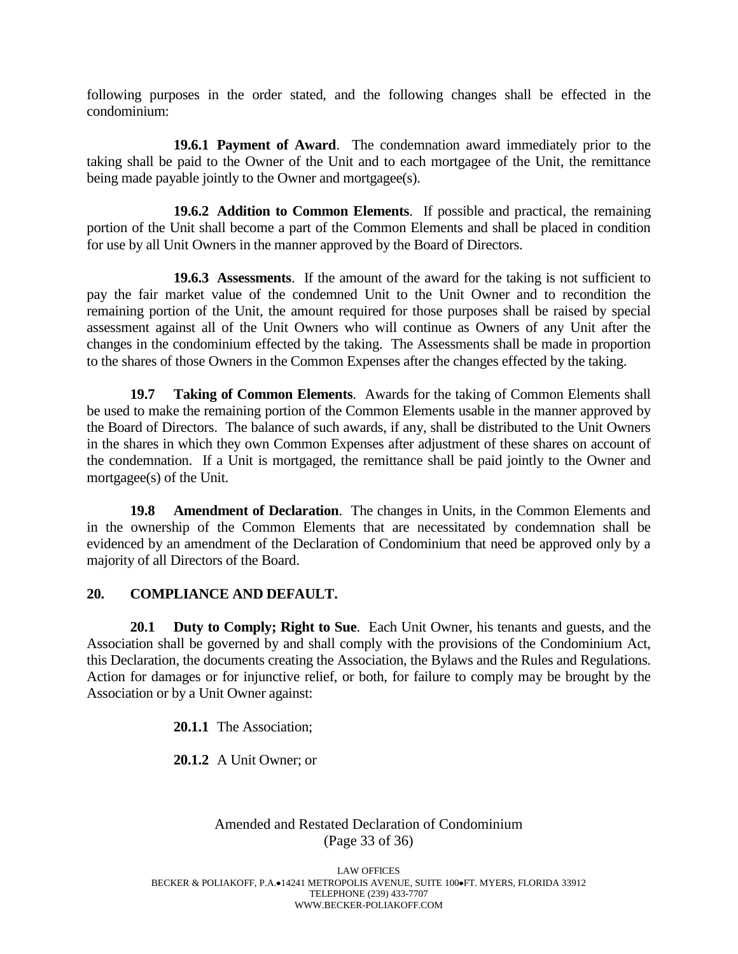following purposes in the order stated, and the following changes shall be effected in the condominium:

**19.6.1 Payment of Award**. The condemnation award immediately prior to the taking shall be paid to the Owner of the Unit and to each mortgagee of the Unit, the remittance being made payable jointly to the Owner and mortgagee(s).

**19.6.2 Addition to Common Elements**. If possible and practical, the remaining portion of the Unit shall become a part of the Common Elements and shall be placed in condition for use by all Unit Owners in the manner approved by the Board of Directors.

**19.6.3 Assessments**. If the amount of the award for the taking is not sufficient to pay the fair market value of the condemned Unit to the Unit Owner and to recondition the remaining portion of the Unit, the amount required for those purposes shall be raised by special assessment against all of the Unit Owners who will continue as Owners of any Unit after the changes in the condominium effected by the taking. The Assessments shall be made in proportion to the shares of those Owners in the Common Expenses after the changes effected by the taking.

**19.7 Taking of Common Elements**. Awards for the taking of Common Elements shall be used to make the remaining portion of the Common Elements usable in the manner approved by the Board of Directors. The balance of such awards, if any, shall be distributed to the Unit Owners in the shares in which they own Common Expenses after adjustment of these shares on account of the condemnation. If a Unit is mortgaged, the remittance shall be paid jointly to the Owner and mortgagee(s) of the Unit.

**19.8 Amendment of Declaration**. The changes in Units, in the Common Elements and in the ownership of the Common Elements that are necessitated by condemnation shall be evidenced by an amendment of the Declaration of Condominium that need be approved only by a majority of all Directors of the Board.

#### **20. COMPLIANCE AND DEFAULT.**

**20.1 Duty to Comply; Right to Sue**. Each Unit Owner, his tenants and guests, and the Association shall be governed by and shall comply with the provisions of the Condominium Act, this Declaration, the documents creating the Association, the Bylaws and the Rules and Regulations. Action for damages or for injunctive relief, or both, for failure to comply may be brought by the Association or by a Unit Owner against:

**20.1.1** The Association;

**20.1.2** A Unit Owner; or

# Amended and Restated Declaration of Condominium (Page 33 of 36)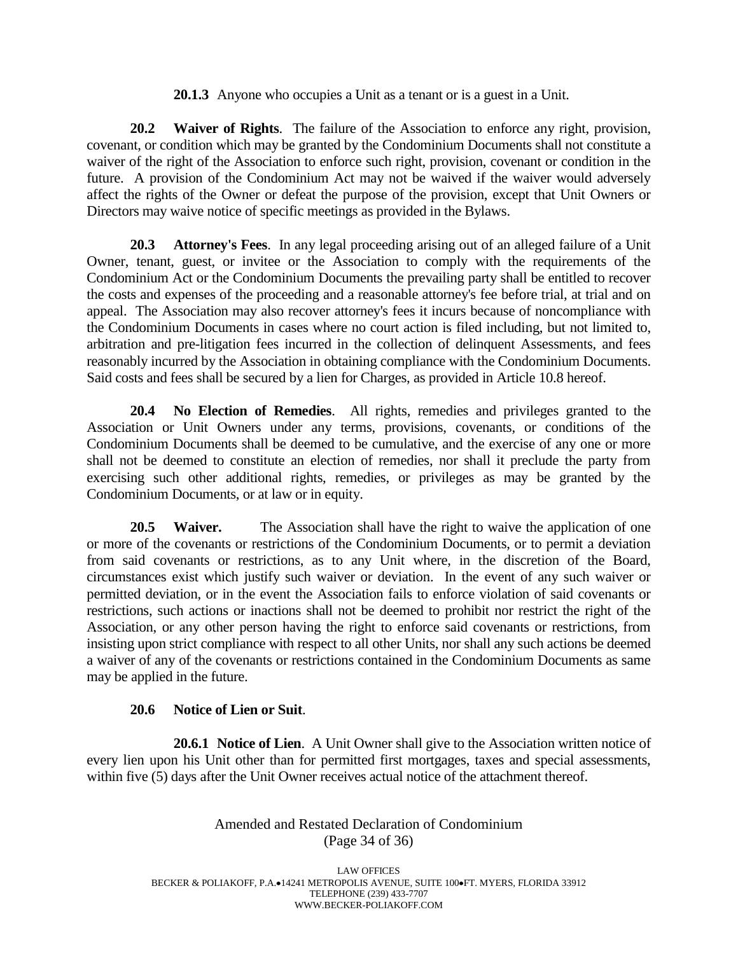**20.1.3** Anyone who occupies a Unit as a tenant or is a guest in a Unit.

**20.2 Waiver of Rights**. The failure of the Association to enforce any right, provision, covenant, or condition which may be granted by the Condominium Documents shall not constitute a waiver of the right of the Association to enforce such right, provision, covenant or condition in the future. A provision of the Condominium Act may not be waived if the waiver would adversely affect the rights of the Owner or defeat the purpose of the provision, except that Unit Owners or Directors may waive notice of specific meetings as provided in the Bylaws.

**20.3 Attorney's Fees**. In any legal proceeding arising out of an alleged failure of a Unit Owner, tenant, guest, or invitee or the Association to comply with the requirements of the Condominium Act or the Condominium Documents the prevailing party shall be entitled to recover the costs and expenses of the proceeding and a reasonable attorney's fee before trial, at trial and on appeal. The Association may also recover attorney's fees it incurs because of noncompliance with the Condominium Documents in cases where no court action is filed including, but not limited to, arbitration and pre-litigation fees incurred in the collection of delinquent Assessments, and fees reasonably incurred by the Association in obtaining compliance with the Condominium Documents. Said costs and fees shall be secured by a lien for Charges, as provided in Article 10.8 hereof.

**20.4 No Election of Remedies**. All rights, remedies and privileges granted to the Association or Unit Owners under any terms, provisions, covenants, or conditions of the Condominium Documents shall be deemed to be cumulative, and the exercise of any one or more shall not be deemed to constitute an election of remedies, nor shall it preclude the party from exercising such other additional rights, remedies, or privileges as may be granted by the Condominium Documents, or at law or in equity.

**20.5 Waiver.** The Association shall have the right to waive the application of one or more of the covenants or restrictions of the Condominium Documents, or to permit a deviation from said covenants or restrictions, as to any Unit where, in the discretion of the Board, circumstances exist which justify such waiver or deviation. In the event of any such waiver or permitted deviation, or in the event the Association fails to enforce violation of said covenants or restrictions, such actions or inactions shall not be deemed to prohibit nor restrict the right of the Association, or any other person having the right to enforce said covenants or restrictions, from insisting upon strict compliance with respect to all other Units, nor shall any such actions be deemed a waiver of any of the covenants or restrictions contained in the Condominium Documents as same may be applied in the future.

# **20.6 Notice of Lien or Suit**.

**20.6.1 Notice of Lien**. A Unit Owner shall give to the Association written notice of every lien upon his Unit other than for permitted first mortgages, taxes and special assessments, within five (5) days after the Unit Owner receives actual notice of the attachment thereof.

# Amended and Restated Declaration of Condominium (Page 34 of 36)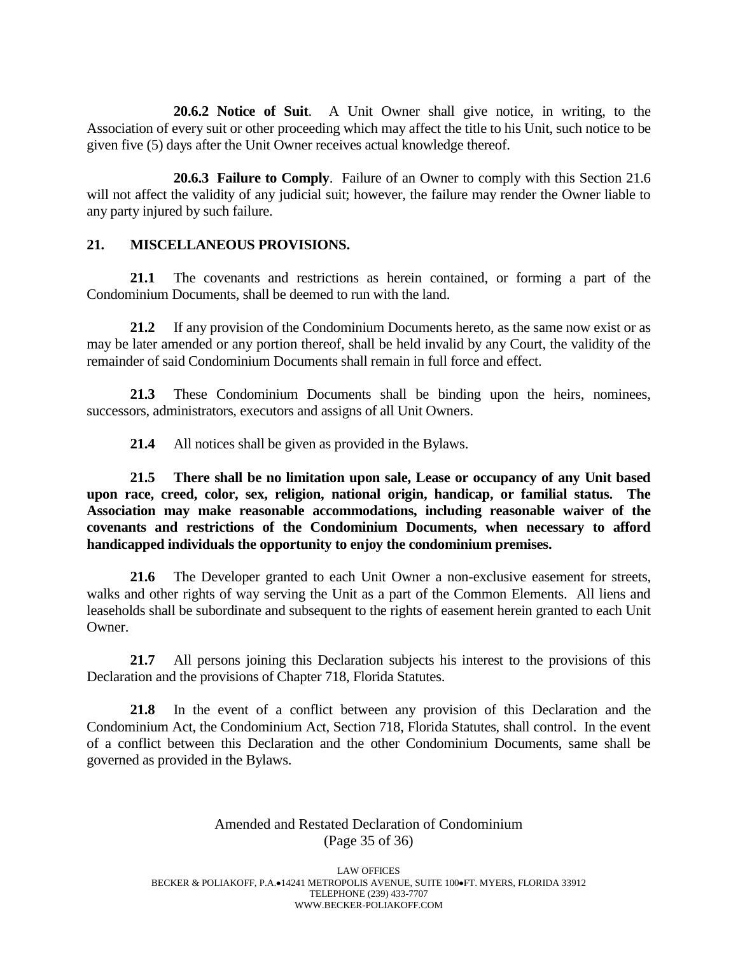**20.6.2 Notice of Suit**. A Unit Owner shall give notice, in writing, to the Association of every suit or other proceeding which may affect the title to his Unit, such notice to be given five (5) days after the Unit Owner receives actual knowledge thereof.

**20.6.3 Failure to Comply**. Failure of an Owner to comply with this Section 21.6 will not affect the validity of any judicial suit; however, the failure may render the Owner liable to any party injured by such failure.

#### **21. MISCELLANEOUS PROVISIONS.**

**21.1** The covenants and restrictions as herein contained, or forming a part of the Condominium Documents, shall be deemed to run with the land.

**21.2** If any provision of the Condominium Documents hereto, as the same now exist or as may be later amended or any portion thereof, shall be held invalid by any Court, the validity of the remainder of said Condominium Documents shall remain in full force and effect.

**21.3** These Condominium Documents shall be binding upon the heirs, nominees, successors, administrators, executors and assigns of all Unit Owners.

**21.4** All notices shall be given as provided in the Bylaws.

**21.5 There shall be no limitation upon sale, Lease or occupancy of any Unit based upon race, creed, color, sex, religion, national origin, handicap, or familial status. The Association may make reasonable accommodations, including reasonable waiver of the covenants and restrictions of the Condominium Documents, when necessary to afford handicapped individuals the opportunity to enjoy the condominium premises.**

**21.6** The Developer granted to each Unit Owner a non-exclusive easement for streets, walks and other rights of way serving the Unit as a part of the Common Elements. All liens and leaseholds shall be subordinate and subsequent to the rights of easement herein granted to each Unit Owner.

**21.7** All persons joining this Declaration subjects his interest to the provisions of this Declaration and the provisions of Chapter 718, Florida Statutes.

**21.8** In the event of a conflict between any provision of this Declaration and the Condominium Act, the Condominium Act, Section 718, Florida Statutes, shall control. In the event of a conflict between this Declaration and the other Condominium Documents, same shall be governed as provided in the Bylaws.

# Amended and Restated Declaration of Condominium (Page 35 of 36)